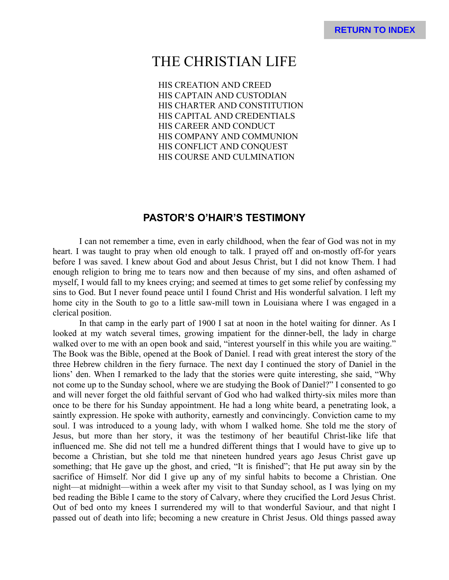# THE CHRISTIAN LIFE

HIS CREATION AND CREED HIS CAPTAIN AND CUSTODIAN HIS CHARTER AND CONSTITUTION HIS CAPITAL AND CREDENTIALS HIS CAREER AND CONDUCT HIS COMPANY AND COMMUNION HIS CONFLICT AND CONQUEST HIS COURSE AND CULMINATION

# **PASTOR'S O'HAIR'S TESTIMONY**

I can not remember a time, even in early childhood, when the fear of God was not in my heart. I was taught to pray when old enough to talk. I prayed off and on-mostly off-for years before I was saved. I knew about God and about Jesus Christ, but I did not know Them. I had enough religion to bring me to tears now and then because of my sins, and often ashamed of myself, I would fall to my knees crying; and seemed at times to get some relief by confessing my sins to God. But I never found peace until I found Christ and His wonderful salvation. I left my home city in the South to go to a little saw-mill town in Louisiana where I was engaged in a clerical position.

In that camp in the early part of 1900 I sat at noon in the hotel waiting for dinner. As I looked at my watch several times, growing impatient for the dinner-bell, the lady in charge walked over to me with an open book and said, "interest yourself in this while you are waiting." The Book was the Bible, opened at the Book of Daniel. I read with great interest the story of the three Hebrew children in the fiery furnace. The next day I continued the story of Daniel in the lions' den. When I remarked to the lady that the stories were quite interesting, she said, "Why not come up to the Sunday school, where we are studying the Book of Daniel?" I consented to go and will never forget the old faithful servant of God who had walked thirty-six miles more than once to be there for his Sunday appointment. He had a long white beard, a penetrating look, a saintly expression. He spoke with authority, earnestly and convincingly. Conviction came to my soul. I was introduced to a young lady, with whom I walked home. She told me the story of Jesus, but more than her story, it was the testimony of her beautiful Christ-like life that influenced me. She did not tell me a hundred different things that I would have to give up to become a Christian, but she told me that nineteen hundred years ago Jesus Christ gave up something; that He gave up the ghost, and cried, "It is finished"; that He put away sin by the sacrifice of Himself. Nor did I give up any of my sinful habits to become a Christian. One night—at midnight—within a week after my visit to that Sunday school, as I was lying on my bed reading the Bible I came to the story of Calvary, where they crucified the Lord Jesus Christ. Out of bed onto my knees I surrendered my will to that wonderful Saviour, and that night I passed out of death into life; becoming a new creature in Christ Jesus. Old things passed away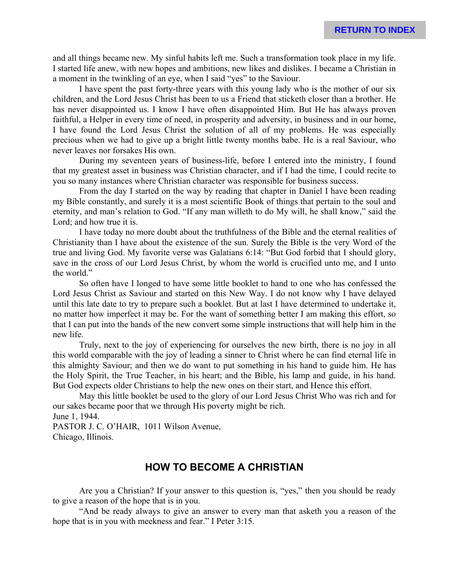and all things became new. My sinful habits left me. Such a transformation took place in my life. I started life anew, with new hopes and ambitions, new likes and dislikes. I became a Christian in a moment in the twinkling of an eye, when I said "yes" to the Saviour.

I have spent the past forty-three years with this young lady who is the mother of our six children, and the Lord Jesus Christ has been to us a Friend that sticketh closer than a brother. He has never disappointed us. I know I have often disappointed Him. But He has always proven faithful, a Helper in every time of need, in prosperity and adversity, in business and in our home, I have found the Lord Jesus Christ the solution of all of my problems. He was especially precious when we had to give up a bright little twenty months babe. He is a real Saviour, who never leaves nor forsakes His own.

During my seventeen years of business-life, before I entered into the ministry, I found that my greatest asset in business was Christian character, and if I had the time, I could recite to you so many instances where Christian character was responsible for business success.

From the day I started on the way by reading that chapter in Daniel I have been reading my Bible constantly, and surely it is a most scientific Book of things that pertain to the soul and eternity, and man's relation to God. "If any man willeth to do My will, he shall know," said the Lord; and how true it is.

I have today no more doubt about the truthfulness of the Bible and the eternal realities of Christianity than I have about the existence of the sun. Surely the Bible is the very Word of the true and living God. My favorite verse was Galatians 6:14: "But God forbid that I should glory, save in the cross of our Lord Jesus Christ, by whom the world is crucified unto me, and I unto the world."

So often have I longed to have some little booklet to hand to one who has confessed the Lord Jesus Christ as Saviour and started on this New Way. I do not know why I have delayed until this late date to try to prepare such a booklet. But at last I have determined to undertake it, no matter how imperfect it may be. For the want of something better I am making this effort, so that I can put into the hands of the new convert some simple instructions that will help him in the new life.

Truly, next to the joy of experiencing for ourselves the new birth, there is no joy in all this world comparable with the joy of leading a sinner to Christ where he can find eternal life in this almighty Saviour; and then we do want to put something in his hand to guide him. He has the Holy Spirit, the True Teacher, in his heart; and the Bible, his lamp and guide, in his hand. But God expects older Christians to help the new ones on their start, and Hence this effort.

May this little booklet be used to the glory of our Lord Jesus Christ Who was rich and for our sakes became poor that we through His poverty might be rich. June 1, 1944.

PASTOR J. C. O'HAIR, 1011 Wilson Avenue, Chicago, Illinois.

# **HOW TO BECOME A CHRISTIAN**

Are you a Christian? If your answer to this question is, "yes," then you should be ready to give a reason of the hope that is in you.

"And be ready always to give an answer to every man that asketh you a reason of the hope that is in you with meekness and fear." I Peter 3:15.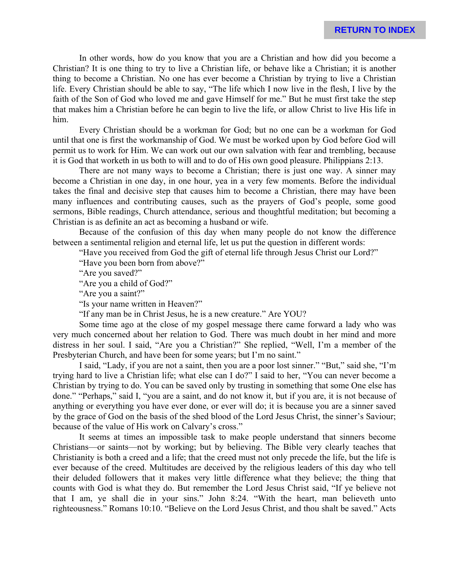In other words, how do you know that you are a Christian and how did you become a Christian? It is one thing to try to live a Christian life, or behave like a Christian; it is another thing to become a Christian. No one has ever become a Christian by trying to live a Christian life. Every Christian should be able to say, "The life which I now live in the flesh, I live by the faith of the Son of God who loved me and gave Himself for me." But he must first take the step that makes him a Christian before he can begin to live the life, or allow Christ to live His life in him.

Every Christian should be a workman for God; but no one can be a workman for God until that one is first the workmanship of God. We must be worked upon by God before God will permit us to work for Him. We can work out our own salvation with fear and trembling, because it is God that worketh in us both to will and to do of His own good pleasure. Philippians 2:13.

There are not many ways to become a Christian; there is just one way. A sinner may become a Christian in one day, in one hour, yea in a very few moments. Before the individual takes the final and decisive step that causes him to become a Christian, there may have been many influences and contributing causes, such as the prayers of God's people, some good sermons, Bible readings, Church attendance, serious and thoughtful meditation; but becoming a Christian is as definite an act as becoming a husband or wife.

Because of the confusion of this day when many people do not know the difference between a sentimental religion and eternal life, let us put the question in different words:

"Have you received from God the gift of eternal life through Jesus Christ our Lord?"

"Have you been born from above?"

"Are you saved?"

"Are you a child of God?"

"Are you a saint?"

"Is your name written in Heaven?"

"If any man be in Christ Jesus, he is a new creature." Are YOU?

Some time ago at the close of my gospel message there came forward a lady who was very much concerned about her relation to God. There was much doubt in her mind and more distress in her soul. I said, "Are you a Christian?" She replied, "Well, I'm a member of the Presbyterian Church, and have been for some years; but I'm no saint."

I said, "Lady, if you are not a saint, then you are a poor lost sinner." "But," said she, "I'm trying hard to live a Christian life; what else can I do?" I said to her, "You can never become a Christian by trying to do. You can be saved only by trusting in something that some One else has done." "Perhaps," said I, "you are a saint, and do not know it, but if you are, it is not because of anything or everything you have ever done, or ever will do; it is because you are a sinner saved by the grace of God on the basis of the shed blood of the Lord Jesus Christ, the sinner's Saviour; because of the value of His work on Calvary's cross."

It seems at times an impossible task to make people understand that sinners become Christians—or saints—not by working; but by believing. The Bible very clearly teaches that Christianity is both a creed and a life; that the creed must not only precede the life, but the life is ever because of the creed. Multitudes are deceived by the religious leaders of this day who tell their deluded followers that it makes very little difference what they believe; the thing that counts with God is what they do. But remember the Lord Jesus Christ said, "If ye believe not that I am, ye shall die in your sins." John 8:24. "With the heart, man believeth unto righteousness." Romans 10:10. "Believe on the Lord Jesus Christ, and thou shalt be saved." Acts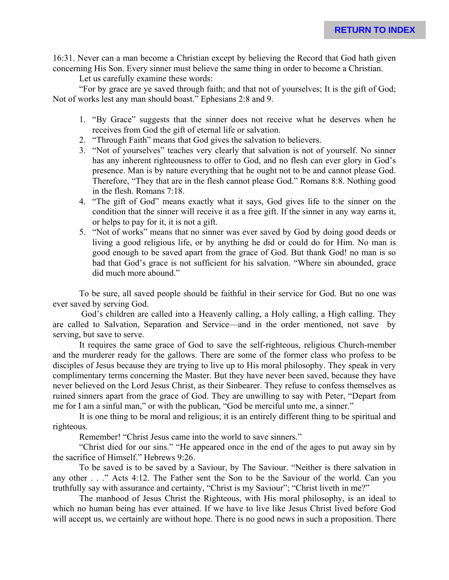16:31. Never can a man become a Christian except by believing the Record that God hath given concerning His Son. Every sinner must believe the same thing in order to become a Christian.

Let us carefully examine these words:

"For by grace are ye saved through faith; and that not of yourselves; It is the gift of God; Not of works lest any man should boast." Ephesians 2:8 and 9.

- 1. "By Grace" suggests that the sinner does not receive what he deserves when he receives from God the gift of eternal life or salvation.
- 2. "Through Faith" means that God gives the salvation to believers.
- 3. "Not of yourselves" teaches very clearly that salvation is not of yourself. No sinner has any inherent righteousness to offer to God, and no flesh can ever glory in God's presence. Man is by nature everything that he ought not to be and cannot please God. Therefore, "They that are in the flesh cannot please God." Romans 8:8. Nothing good in the flesh. Romans 7:18.
- 4. "The gift of God" means exactly what it says, God gives life to the sinner on the condition that the sinner will receive it as a free gift. If the sinner in any way earns it, or helps to pay for it, it is not a gift.
- 5. "Not of works" means that no sinner was ever saved by God by doing good deeds or living a good religious life, or by anything he did or could do for Him. No man is good enough to be saved apart from the grace of God. But thank God! no man is so bad that God's grace is not sufficient for his salvation. "Where sin abounded, grace did much more abound."

To be sure, all saved people should be faithful in their service for God. But no one was ever saved by serving God.

 God's children are called into a Heavenly calling, a Holy calling, a High calling. They are called to Salvation, Separation and Service—and in the order mentioned, not save by serving, but save to serve.

It requires the same grace of God to save the self-righteous, religious Church-member and the murderer ready for the gallows. There are some of the former class who profess to be disciples of Jesus because they are trying to live up to His moral philosophy. They speak in very complimentary terms concerning the Master. But they have never been saved, because they have never believed on the Lord Jesus Christ, as their Sinbearer. They refuse to confess themselves as ruined sinners apart from the grace of God. They are unwilling to say with Peter, "Depart from me for I am a sinful man," or with the publican, "God be merciful unto me, a sinner."

It is one thing to be moral and religious; it is an entirely different thing to be spiritual and righteous.

Remember! "Christ Jesus came into the world to save sinners."

"Christ died for our sins." "He appeared once in the end of the ages to put away sin by the sacrifice of Himself." Hebrews 9:26.

To be saved is to be saved by a Saviour, by The Saviour. "Neither is there salvation in any other . . ." Acts 4:12. The Father sent the Son to be the Saviour of the world. Can you truthfully say with assurance and certainty, "Christ is my Saviour"; "Christ liveth in me?"

The manhood of Jesus Christ the Righteous, with His moral philosophy, is an ideal to which no human being has ever attained. If we have to live like Jesus Christ lived before God will accept us, we certainly are without hope. There is no good news in such a proposition. There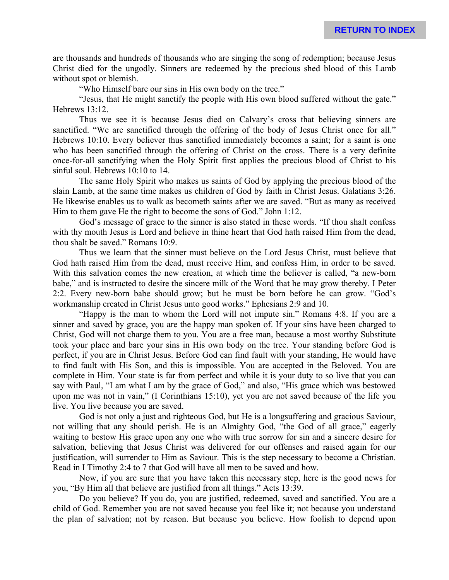are thousands and hundreds of thousands who are singing the song of redemption; because Jesus Christ died for the ungodly. Sinners are redeemed by the precious shed blood of this Lamb without spot or blemish.

"Who Himself bare our sins in His own body on the tree."

"Jesus, that He might sanctify the people with His own blood suffered without the gate." Hebrews 13:12.

Thus we see it is because Jesus died on Calvary's cross that believing sinners are sanctified. "We are sanctified through the offering of the body of Jesus Christ once for all." Hebrews 10:10. Every believer thus sanctified immediately becomes a saint; for a saint is one who has been sanctified through the offering of Christ on the cross. There is a very definite once-for-all sanctifying when the Holy Spirit first applies the precious blood of Christ to his sinful soul. Hebrews 10:10 to 14.

The same Holy Spirit who makes us saints of God by applying the precious blood of the slain Lamb, at the same time makes us children of God by faith in Christ Jesus. Galatians 3:26. He likewise enables us to walk as becometh saints after we are saved. "But as many as received Him to them gave He the right to become the sons of God." John 1:12.

God's message of grace to the sinner is also stated in these words. "If thou shalt confess with thy mouth Jesus is Lord and believe in thine heart that God hath raised Him from the dead, thou shalt be saved." Romans 10:9.

Thus we learn that the sinner must believe on the Lord Jesus Christ, must believe that God hath raised Him from the dead, must receive Him, and confess Him, in order to be saved. With this salvation comes the new creation, at which time the believer is called, "a new-born babe," and is instructed to desire the sincere milk of the Word that he may grow thereby. I Peter 2:2. Every new-born babe should grow; but he must be born before he can grow. "God's workmanship created in Christ Jesus unto good works." Ephesians 2:9 and 10.

"Happy is the man to whom the Lord will not impute sin." Romans 4:8. If you are a sinner and saved by grace, you are the happy man spoken of. If your sins have been charged to Christ, God will not charge them to you. You are a free man, because a most worthy Substitute took your place and bare your sins in His own body on the tree. Your standing before God is perfect, if you are in Christ Jesus. Before God can find fault with your standing, He would have to find fault with His Son, and this is impossible. You are accepted in the Beloved. You are complete in Him. Your state is far from perfect and while it is your duty to so live that you can say with Paul, "I am what I am by the grace of God," and also, "His grace which was bestowed upon me was not in vain," (I Corinthians 15:10), yet you are not saved because of the life you live. You live because you are saved.

God is not only a just and righteous God, but He is a longsuffering and gracious Saviour, not willing that any should perish. He is an Almighty God, "the God of all grace," eagerly waiting to bestow His grace upon any one who with true sorrow for sin and a sincere desire for salvation, believing that Jesus Christ was delivered for our offenses and raised again for our justification, will surrender to Him as Saviour. This is the step necessary to become a Christian. Read in I Timothy 2:4 to 7 that God will have all men to be saved and how.

Now, if you are sure that you have taken this necessary step, here is the good news for you, "By Him all that believe are justified from all things." Acts 13:39.

Do you believe? If you do, you are justified, redeemed, saved and sanctified. You are a child of God. Remember you are not saved because you feel like it; not because you understand the plan of salvation; not by reason. But because you believe. How foolish to depend upon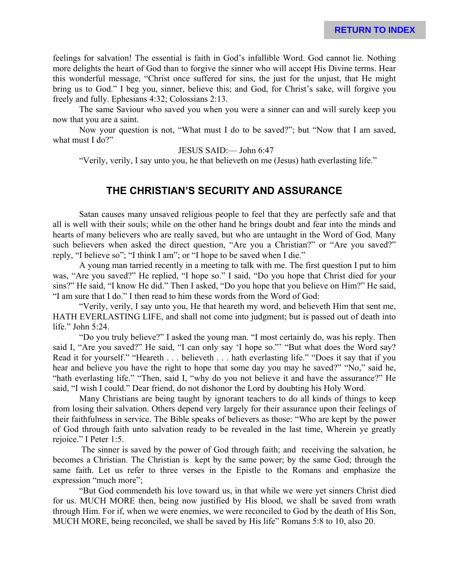feelings for salvation! The essential is faith in God's infallible Word. God cannot lie. Nothing more delights the heart of God than to forgive the sinner who will accept His Divine terms. Hear this wonderful message, "Christ once suffered for sins, the just for the unjust, that He might bring us to God." I beg you, sinner, believe this; and God, for Christ's sake, will forgive you freely and fully. Ephesians 4:32; Colossians 2:13.

The same Saviour who saved you when you were a sinner can and will surely keep you now that you are a saint.

Now your question is not, "What must I do to be saved?"; but "Now that I am saved, what must I do?"

JESUS SAID:— John 6:47

"Verily, verily, I say unto you, he that believeth on me (Jesus) hath everlasting life."

# **THE CHRISTIAN'S SECURITY AND ASSURANCE**

Satan causes many unsaved religious people to feel that they are perfectly safe and that all is well with their souls; while on the other hand he brings doubt and fear into the minds and hearts of many believers who are really saved, but who are untaught in the Word of God. Many such believers when asked the direct question, "Are you a Christian?" or "Are you saved?" reply, "I believe so"; "I think I am"; or "I hope to be saved when I die."

A young man tarried recently in a meeting to talk with me. The first question I put to him was, "Are you saved?" He replied, "I hope so." I said, "Do you hope that Christ died for your sins?" He said, "I know He did." Then I asked, "Do you hope that you believe on Him?" He said, "I am sure that I do." I then read to him these words from the Word of God:

"Verily, verily, I say unto you, He that heareth my word, and believeth Him that sent me, HATH EVERLASTING LIFE, and shall not come into judgment; but is passed out of death into life." John 5:24.

"Do you truly believe?" I asked the young man. "I most certainly do, was his reply. Then said I, "Are you saved?" He said, "I can only say 'I hope so."' "But what does the Word say? Read it for yourself." "Heareth . . . believeth . . . hath everlasting life." "Does it say that if you hear and believe you have the right to hope that some day you may he saved?" "No," said he, "hath everlasting life." "Then, said I, "why do you not believe it and have the assurance?" He said, "I wish I could." Dear friend, do not dishonor the Lord by doubting his Holy Word.

Many Christians are being taught by ignorant teachers to do all kinds of things to keep from losing their salvation. Others depend very largely for their assurance upon their feelings of their faithfulness in service. The Bible speaks of believers as those: "Who are kept by the power of God through faith unto salvation ready to be revealed in the last time, Wherein ye greatly rejoice." I Peter 1:5.

 The sinner is saved by the power of God through faith; and receiving the salvation, he becomes a Christian. The Christian is kept by the same power; by the same God; through the same faith. Let us refer to three verses in the Epistle to the Romans and emphasize the expression "much more";

"But God commendeth his love toward us, in that while we were yet sinners Christ died for us. MUCH MORE then, being now justified by His blood, we shall be saved from wrath through Him. For if, when we were enemies, we were reconciled to God by the death of His Son, MUCH MORE, being reconciled, we shall be saved by His life" Romans 5:8 to 10, also 20.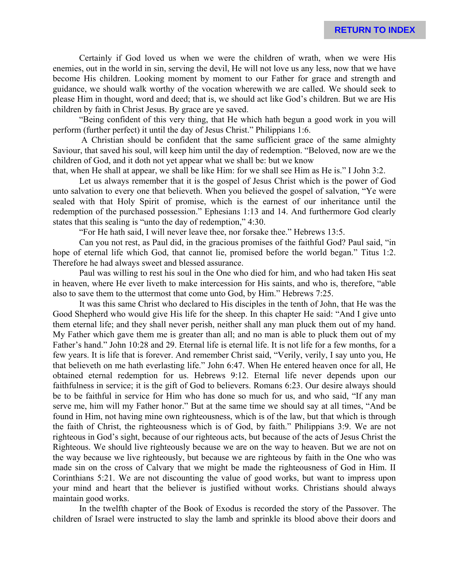Certainly if God loved us when we were the children of wrath, when we were His enemies, out in the world in sin, serving the devil, He will not love us any less, now that we have become His children. Looking moment by moment to our Father for grace and strength and guidance, we should walk worthy of the vocation wherewith we are called. We should seek to please Him in thought, word and deed; that is, we should act like God's children. But we are His children by faith in Christ Jesus. By grace are ye saved.

"Being confident of this very thing, that He which hath begun a good work in you will perform (further perfect) it until the day of Jesus Christ." Philippians 1:6.

 A Christian should be confident that the same sufficient grace of the same almighty Saviour, that saved his soul, will keep him until the day of redemption. "Beloved, now are we the children of God, and it doth not yet appear what we shall be: but we know

that, when He shall at appear, we shall be like Him: for we shall see Him as He is." I John 3:2.

Let us always remember that it is the gospel of Jesus Christ which is the power of God unto salvation to every one that believeth. When you believed the gospel of salvation, "Ye were sealed with that Holy Spirit of promise, which is the earnest of our inheritance until the redemption of the purchased possession." Ephesians 1:13 and 14. And furthermore God clearly states that this sealing is "unto the day of redemption," 4:30.

"For He hath said, I will never leave thee, nor forsake thee." Hebrews 13:5.

Can you not rest, as Paul did, in the gracious promises of the faithful God? Paul said, "in hope of eternal life which God, that cannot lie, promised before the world began." Titus 1:2. Therefore he had always sweet and blessed assurance.

Paul was willing to rest his soul in the One who died for him, and who had taken His seat in heaven, where He ever liveth to make intercession for His saints, and who is, therefore, "able also to save them to the uttermost that come unto God, by Him." Hebrews 7:25.

It was this same Christ who declared to His disciples in the tenth of John, that He was the Good Shepherd who would give His life for the sheep. In this chapter He said: "And I give unto them eternal life; and they shall never perish, neither shall any man pluck them out of my hand. My Father which gave them me is greater than all; and no man is able to pluck them out of my Father's hand." John 10:28 and 29. Eternal life is eternal life. It is not life for a few months, for a few years. It is life that is forever. And remember Christ said, "Verily, verily, I say unto you, He that believeth on me hath everlasting life." John 6:47. When He entered heaven once for all, He obtained eternal redemption for us. Hebrews 9:12. Eternal life never depends upon our faithfulness in service; it is the gift of God to believers. Romans 6:23. Our desire always should be to be faithful in service for Him who has done so much for us, and who said, "If any man serve me, him will my Father honor." But at the same time we should say at all times, "And be found in Him, not having mine own righteousness, which is of the law, but that which is through the faith of Christ, the righteousness which is of God, by faith." Philippians 3:9. We are not righteous in God's sight, because of our righteous acts, but because of the acts of Jesus Christ the Righteous. We should live righteously because we are on the way to heaven. But we are not on the way because we live righteously, but because we are righteous by faith in the One who was made sin on the cross of Calvary that we might be made the righteousness of God in Him. II Corinthians 5:21. We are not discounting the value of good works, but want to impress upon your mind and heart that the believer is justified without works. Christians should always maintain good works.

In the twelfth chapter of the Book of Exodus is recorded the story of the Passover. The children of Israel were instructed to slay the lamb and sprinkle its blood above their doors and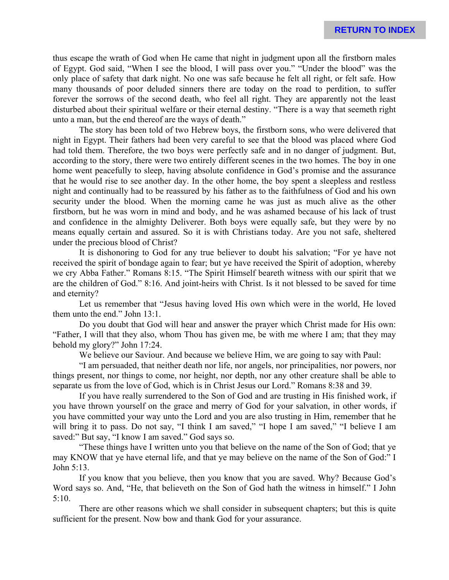thus escape the wrath of God when He came that night in judgment upon all the firstborn males of Egypt. God said, "When I see the blood, I will pass over you." "Under the blood" was the only place of safety that dark night. No one was safe because he felt all right, or felt safe. How many thousands of poor deluded sinners there are today on the road to perdition, to suffer forever the sorrows of the second death, who feel all right. They are apparently not the least disturbed about their spiritual welfare or their eternal destiny. "There is a way that seemeth right unto a man, but the end thereof are the ways of death."

The story has been told of two Hebrew boys, the firstborn sons, who were delivered that night in Egypt. Their fathers had been very careful to see that the blood was placed where God had told them. Therefore, the two boys were perfectly safe and in no danger of judgment. But, according to the story, there were two entirely different scenes in the two homes. The boy in one home went peacefully to sleep, having absolute confidence in God's promise and the assurance that he would rise to see another day. In the other home, the boy spent a sleepless and restless night and continually had to be reassured by his father as to the faithfulness of God and his own security under the blood. When the morning came he was just as much alive as the other firstborn, but he was worn in mind and body, and he was ashamed because of his lack of trust and confidence in the almighty Deliverer. Both boys were equally safe, but they were by no means equally certain and assured. So it is with Christians today. Are you not safe, sheltered under the precious blood of Christ?

It is dishonoring to God for any true believer to doubt his salvation; "For ye have not received the spirit of bondage again to fear; but ye have received the Spirit of adoption, whereby we cry Abba Father." Romans 8:15. "The Spirit Himself beareth witness with our spirit that we are the children of God." 8:16. And joint-heirs with Christ. Is it not blessed to be saved for time and eternity?

Let us remember that "Jesus having loved His own which were in the world, He loved them unto the end." John 13:1.

Do you doubt that God will hear and answer the prayer which Christ made for His own: "Father, I will that they also, whom Thou has given me, be with me where I am; that they may behold my glory?" John 17:24.

We believe our Saviour. And because we believe Him, we are going to say with Paul:

"I am persuaded, that neither death nor life, nor angels, nor principalities, nor powers, nor things present, nor things to come, nor height, nor depth, nor any other creature shall be able to separate us from the love of God, which is in Christ Jesus our Lord." Romans 8:38 and 39.

If you have really surrendered to the Son of God and are trusting in His finished work, if you have thrown yourself on the grace and merry of God for your salvation, in other words, if you have committed your way unto the Lord and you are also trusting in Him, remember that he will bring it to pass. Do not say, "I think I am saved," "I hope I am saved," "I believe I am saved:" But say, "I know I am saved." God says so.

"These things have I written unto you that believe on the name of the Son of God; that ye may KNOW that ye have eternal life, and that ye may believe on the name of the Son of God:" I John 5:13.

If you know that you believe, then you know that you are saved. Why? Because God's Word says so. And, "He, that believeth on the Son of God hath the witness in himself." I John 5:10.

There are other reasons which we shall consider in subsequent chapters; but this is quite sufficient for the present. Now bow and thank God for your assurance.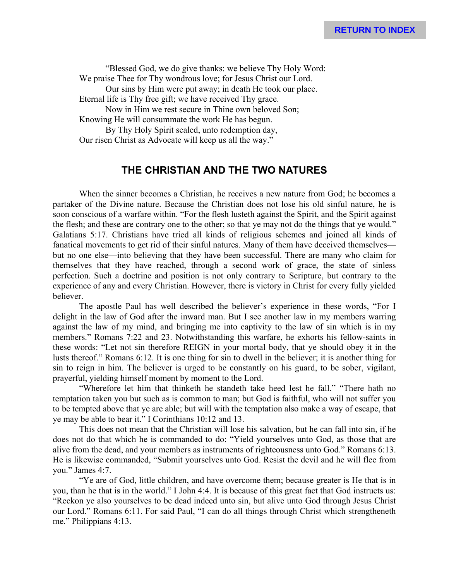"Blessed God, we do give thanks: we believe Thy Holy Word: We praise Thee for Thy wondrous love; for Jesus Christ our Lord. Our sins by Him were put away; in death He took our place. Eternal life is Thy free gift; we have received Thy grace. Now in Him we rest secure in Thine own beloved Son; Knowing He will consummate the work He has begun. By Thy Holy Spirit sealed, unto redemption day, Our risen Christ as Advocate will keep us all the way."

# **THE CHRISTIAN AND THE TWO NATURES**

When the sinner becomes a Christian, he receives a new nature from God; he becomes a partaker of the Divine nature. Because the Christian does not lose his old sinful nature, he is soon conscious of a warfare within. "For the flesh lusteth against the Spirit, and the Spirit against the flesh; and these are contrary one to the other; so that ye may not do the things that ye would." Galatians 5:17. Christians have tried all kinds of religious schemes and joined all kinds of fanatical movements to get rid of their sinful natures. Many of them have deceived themselves but no one else—into believing that they have been successful. There are many who claim for themselves that they have reached, through a second work of grace, the state of sinless perfection. Such a doctrine and position is not only contrary to Scripture, but contrary to the experience of any and every Christian. However, there is victory in Christ for every fully yielded believer.

The apostle Paul has well described the believer's experience in these words, "For I delight in the law of God after the inward man. But I see another law in my members warring against the law of my mind, and bringing me into captivity to the law of sin which is in my members." Romans 7:22 and 23. Notwithstanding this warfare, he exhorts his fellow-saints in these words: "Let not sin therefore REIGN in your mortal body, that ye should obey it in the lusts thereof." Romans 6:12. It is one thing for sin to dwell in the believer; it is another thing for sin to reign in him. The believer is urged to be constantly on his guard, to be sober, vigilant, prayerful, yielding himself moment by moment to the Lord.

"Wherefore let him that thinketh he standeth take heed lest he fall." "There hath no temptation taken you but such as is common to man; but God is faithful, who will not suffer you to be tempted above that ye are able; but will with the temptation also make a way of escape, that ye may be able to bear it." I Corinthians 10:12 and 13.

This does not mean that the Christian will lose his salvation, but he can fall into sin, if he does not do that which he is commanded to do: "Yield yourselves unto God, as those that are alive from the dead, and your members as instruments of righteousness unto God." Romans 6:13. He is likewise commanded, "Submit yourselves unto God. Resist the devil and he will flee from you." James 4:7.

"Ye are of God, little children, and have overcome them; because greater is He that is in you, than he that is in the world." I John 4:4. It is because of this great fact that God instructs us: "Reckon ye also yourselves to be dead indeed unto sin, but alive unto God through Jesus Christ our Lord." Romans 6:11. For said Paul, "I can do all things through Christ which strengtheneth me." Philippians 4:13.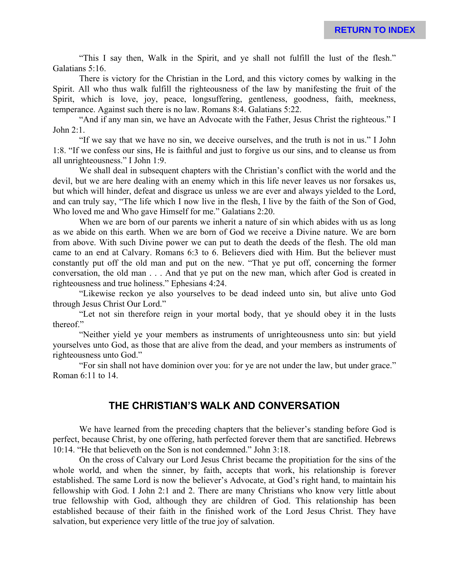"This I say then, Walk in the Spirit, and ye shall not fulfill the lust of the flesh." Galatians 5:16.

There is victory for the Christian in the Lord, and this victory comes by walking in the Spirit. All who thus walk fulfill the righteousness of the law by manifesting the fruit of the Spirit, which is love, joy, peace, longsuffering, gentleness, goodness, faith, meekness, temperance. Against such there is no law. Romans 8:4. Galatians 5:22.

"And if any man sin, we have an Advocate with the Father, Jesus Christ the righteous." I John 2:1.

"If we say that we have no sin, we deceive ourselves, and the truth is not in us." I John 1:8. "If we confess our sins, He is faithful and just to forgive us our sins, and to cleanse us from all unrighteousness." I John 1:9.

We shall deal in subsequent chapters with the Christian's conflict with the world and the devil, but we are here dealing with an enemy which in this life never leaves us nor forsakes us, but which will hinder, defeat and disgrace us unless we are ever and always yielded to the Lord, and can truly say, "The life which I now live in the flesh, I live by the faith of the Son of God, Who loved me and Who gave Himself for me." Galatians 2:20.

When we are born of our parents we inherit a nature of sin which abides with us as long as we abide on this earth. When we are born of God we receive a Divine nature. We are born from above. With such Divine power we can put to death the deeds of the flesh. The old man came to an end at Calvary. Romans 6:3 to 6. Believers died with Him. But the believer must constantly put off the old man and put on the new. "That ye put off, concerning the former conversation, the old man . . . And that ye put on the new man, which after God is created in righteousness and true holiness." Ephesians 4:24.

"Likewise reckon ye also yourselves to be dead indeed unto sin, but alive unto God through Jesus Christ Our Lord."

"Let not sin therefore reign in your mortal body, that ye should obey it in the lusts thereof."

"Neither yield ye your members as instruments of unrighteousness unto sin: but yield yourselves unto God, as those that are alive from the dead, and your members as instruments of righteousness unto God."

"For sin shall not have dominion over you: for ye are not under the law, but under grace." Roman 6:11 to 14.

# **THE CHRISTIAN'S WALK AND CONVERSATION**

We have learned from the preceding chapters that the believer's standing before God is perfect, because Christ, by one offering, hath perfected forever them that are sanctified. Hebrews 10:14. "He that believeth on the Son is not condemned." John 3:18.

On the cross of Calvary our Lord Jesus Christ became the propitiation for the sins of the whole world, and when the sinner, by faith, accepts that work, his relationship is forever established. The same Lord is now the believer's Advocate, at God's right hand, to maintain his fellowship with God. I John 2:1 and 2. There are many Christians who know very little about true fellowship with God, although they are children of God. This relationship has been established because of their faith in the finished work of the Lord Jesus Christ. They have salvation, but experience very little of the true joy of salvation.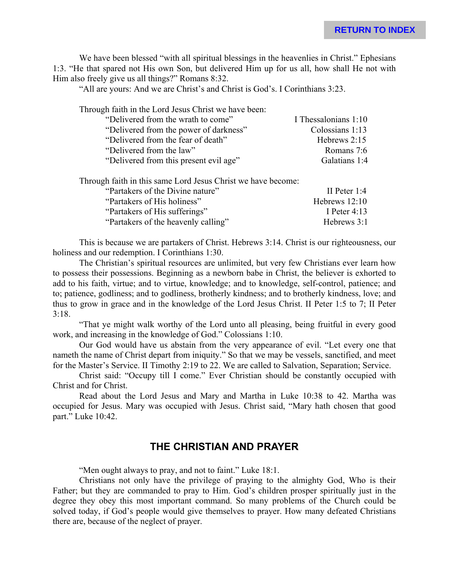We have been blessed "with all spiritual blessings in the heavenlies in Christ." Ephesians 1:3. "He that spared not His own Son, but delivered Him up for us all, how shall He not with Him also freely give us all things?" Romans 8:32.

"All are yours: And we are Christ's and Christ is God's. I Corinthians 3:23.

| "Delivered from the wrath to come"<br>I Thessalonians 1:10 |  |
|------------------------------------------------------------|--|
| Colossians 1:13<br>"Delivered from the power of darkness"  |  |
| "Delivered from the fear of death"<br>Hebrews 2:15         |  |
| "Delivered from the law"<br>Romans 7:6                     |  |
| "Delivered from this present evil age"<br>Galatians 1:4    |  |

Through faith in this same Lord Jesus Christ we have become:

| "Partakers of the Divine nature"    | II Peter $1:4$  |
|-------------------------------------|-----------------|
| "Partakers of His holiness"         | Hebrews $12:10$ |
| "Partakers of His sufferings"       | I Peter $4.13$  |
| "Partakers of the heavenly calling" | Hebrews 3:1     |

This is because we are partakers of Christ. Hebrews 3:14. Christ is our righteousness, our holiness and our redemption. I Corinthians 1:30.

The Christian's spiritual resources are unlimited, but very few Christians ever learn how to possess their possessions. Beginning as a newborn babe in Christ, the believer is exhorted to add to his faith, virtue; and to virtue, knowledge; and to knowledge, self-control, patience; and to; patience, godliness; and to godliness, brotherly kindness; and to brotherly kindness, love; and thus to grow in grace and in the knowledge of the Lord Jesus Christ. II Peter 1:5 to 7; II Peter 3:18.

"That ye might walk worthy of the Lord unto all pleasing, being fruitful in every good work, and increasing in the knowledge of God." Colossians 1:10.

Our God would have us abstain from the very appearance of evil. "Let every one that nameth the name of Christ depart from iniquity." So that we may be vessels, sanctified, and meet for the Master's Service. II Timothy 2:19 to 22. We are called to Salvation, Separation; Service.

Christ said: "Occupy till I come." Ever Christian should be constantly occupied with Christ and for Christ.

Read about the Lord Jesus and Mary and Martha in Luke 10:38 to 42. Martha was occupied for Jesus. Mary was occupied with Jesus. Christ said, "Mary hath chosen that good part." Luke 10:42.

#### **THE CHRISTIAN AND PRAYER**

"Men ought always to pray, and not to faint." Luke 18:1.

Christians not only have the privilege of praying to the almighty God, Who is their Father; but they are commanded to pray to Him. God's children prosper spiritually just in the degree they obey this most important command. So many problems of the Church could be solved today, if God's people would give themselves to prayer. How many defeated Christians there are, because of the neglect of prayer.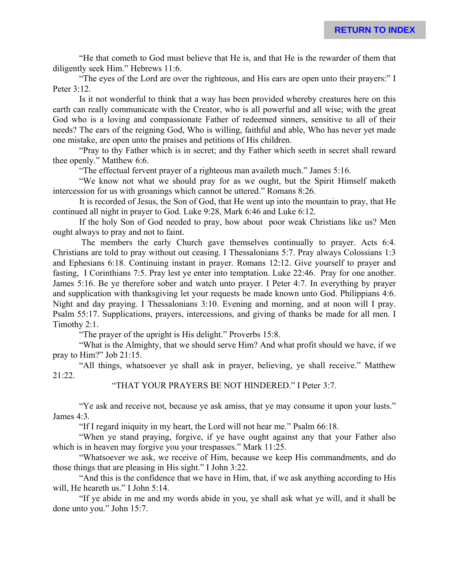"He that cometh to God must believe that He is, and that He is the rewarder of them that diligently seek Him." Hebrews 11:6.

"The eyes of the Lord are over the righteous, and His ears are open unto their prayers:" I Peter 3:12.

Is it not wonderful to think that a way has been provided whereby creatures here on this earth can really communicate with the Creator, who is all powerful and all wise; with the great God who is a loving and compassionate Father of redeemed sinners, sensitive to all of their needs? The ears of the reigning God, Who is willing, faithful and able, Who has never yet made one mistake, are open unto the praises and petitions of His children.

"Pray to thy Father which is in secret; and thy Father which seeth in secret shall reward thee openly." Matthew 6:6.

"The effectual fervent prayer of a righteous man availeth much." James 5:16.

"We know not what we should pray for as we ought, but the Spirit Himself maketh intercession for us with groanings which cannot be uttered." Romans 8:26.

It is recorded of Jesus, the Son of God, that He went up into the mountain to pray, that He continued all night in prayer to God. Luke 9:28, Mark 6:46 and Luke 6:12.

If the holy Son of God needed to pray, how about poor weak Christians like us? Men ought always to pray and not to faint.

 The members the early Church gave themselves continually to prayer. Acts 6:4. Christians are told to pray without out ceasing. I Thessalonians 5:7. Pray always Colossians 1:3 and Ephesians 6:18. Continuing instant in prayer. Romans 12:12. Give yourself to prayer and fasting, I Corinthians 7:5. Pray lest ye enter into temptation. Luke 22:46. Pray for one another. James 5:16. Be ye therefore sober and watch unto prayer. I Peter 4:7. In everything by prayer and supplication with thanksgiving let your requests be made known unto God. Philippians 4:6. Night and day praying. I Thessalonians 3:10. Evening and morning, and at noon will I pray. Psalm 55:17. Supplications, prayers, intercessions, and giving of thanks be made for all men. I Timothy 2:1.

"The prayer of the upright is His delight." Proverbs 15:8.

"What is the Almighty, that we should serve Him? And what profit should we have, if we pray to Him?" Job 21:15.

"All things, whatsoever ye shall ask in prayer, believing, ye shall receive." Matthew 21:22.

#### "THAT YOUR PRAYERS BE NOT HINDERED." I Peter 3:7.

"Ye ask and receive not, because ye ask amiss, that ye may consume it upon your lusts." James 4:3.

"If I regard iniquity in my heart, the Lord will not hear me." Psalm 66:18.

"When ye stand praying, forgive, if ye have ought against any that your Father also which is in heaven may forgive you your trespasses." Mark 11:25.

"Whatsoever we ask, we receive of Him, because we keep His commandments, and do those things that are pleasing in His sight." I John 3:22.

"And this is the confidence that we have in Him, that, if we ask anything according to His will. He heareth us." I John 5:14.

"If ye abide in me and my words abide in you, ye shall ask what ye will, and it shall be done unto you." John 15:7.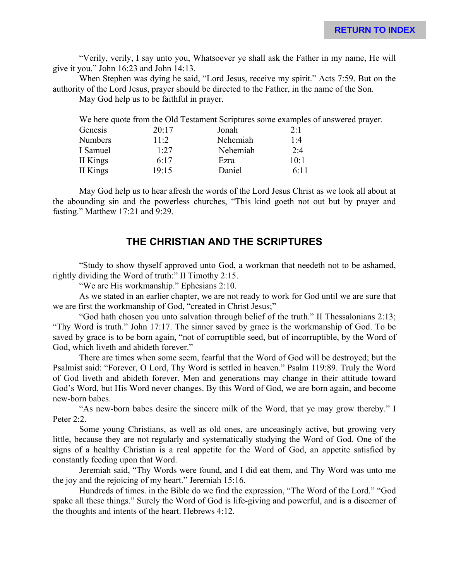"Verily, verily, I say unto you, Whatsoever ye shall ask the Father in my name, He will give it you." John 16:23 and John 14:13.

When Stephen was dying he said, "Lord Jesus, receive my spirit." Acts 7:59. But on the authority of the Lord Jesus, prayer should be directed to the Father, in the name of the Son.

May God help us to be faithful in prayer.

| Genesis        | 20:17  | Jonah    | 2:1  |
|----------------|--------|----------|------|
| <b>Numbers</b> | $11-2$ | Nehemiah | 1.4  |
| I Samuel       | 1.27   | Nehemiah | 2:4  |
| II Kings       | 6.17   | Ezra     | 10:1 |
| II Kings       | 19:15  | Daniel   | 6:11 |
|                |        |          |      |

May God help us to hear afresh the words of the Lord Jesus Christ as we look all about at the abounding sin and the powerless churches, "This kind goeth not out but by prayer and fasting." Matthew 17:21 and 9:29.

# **THE CHRISTIAN AND THE SCRIPTURES**

"Study to show thyself approved unto God, a workman that needeth not to be ashamed, rightly dividing the Word of truth:" II Timothy 2:15.

"We are His workmanship." Ephesians 2:10.

As we stated in an earlier chapter, we are not ready to work for God until we are sure that we are first the workmanship of God, "created in Christ Jesus;"

"God hath chosen you unto salvation through belief of the truth." II Thessalonians 2:13; "Thy Word is truth." John 17:17. The sinner saved by grace is the workmanship of God. To be saved by grace is to be born again, "not of corruptible seed, but of incorruptible, by the Word of God, which liveth and abideth forever."

There are times when some seem, fearful that the Word of God will be destroyed; but the Psalmist said: "Forever, O Lord, Thy Word is settled in heaven." Psalm 119:89. Truly the Word of God liveth and abideth forever. Men and generations may change in their attitude toward God's Word, but His Word never changes. By this Word of God, we are born again, and become new-born babes.

"As new-born babes desire the sincere milk of the Word, that ye may grow thereby." I Peter 2:2.

Some young Christians, as well as old ones, are unceasingly active, but growing very little, because they are not regularly and systematically studying the Word of God. One of the signs of a healthy Christian is a real appetite for the Word of God, an appetite satisfied by constantly feeding upon that Word.

Jeremiah said, "Thy Words were found, and I did eat them, and Thy Word was unto me the joy and the rejoicing of my heart." Jeremiah 15:16.

Hundreds of times. in the Bible do we find the expression, "The Word of the Lord." "God spake all these things." Surely the Word of God is life-giving and powerful, and is a discerner of the thoughts and intents of the heart. Hebrews 4:12.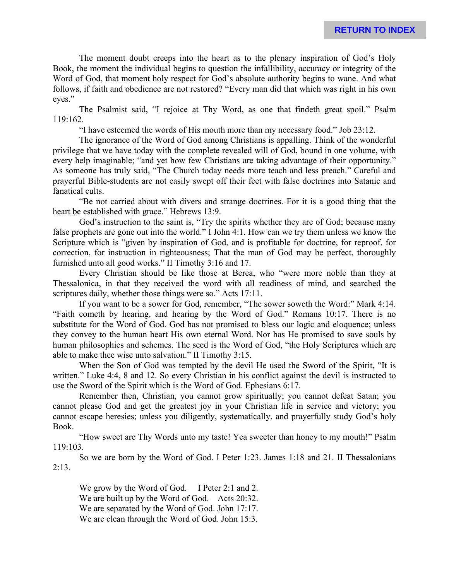The moment doubt creeps into the heart as to the plenary inspiration of God's Holy Book, the moment the individual begins to question the infallibility, accuracy or integrity of the Word of God, that moment holy respect for God's absolute authority begins to wane. And what follows, if faith and obedience are not restored? "Every man did that which was right in his own eyes."

The Psalmist said, "I rejoice at Thy Word, as one that findeth great spoil." Psalm 119:162.

"I have esteemed the words of His mouth more than my necessary food." Job 23:12.

The ignorance of the Word of God among Christians is appalling. Think of the wonderful privilege that we have today with the complete revealed will of God, bound in one volume, with every help imaginable; "and yet how few Christians are taking advantage of their opportunity." As someone has truly said, "The Church today needs more teach and less preach." Careful and prayerful Bible-students are not easily swept off their feet with false doctrines into Satanic and fanatical cults.

"Be not carried about with divers and strange doctrines. For it is a good thing that the heart be established with grace." Hebrews 13:9.

God's instruction to the saint is, "Try the spirits whether they are of God; because many false prophets are gone out into the world." I John 4:1. How can we try them unless we know the Scripture which is "given by inspiration of God, and is profitable for doctrine, for reproof, for correction, for instruction in righteousness; That the man of God may be perfect, thoroughly furnished unto all good works." II Timothy 3:16 and 17.

Every Christian should be like those at Berea, who "were more noble than they at Thessalonica, in that they received the word with all readiness of mind, and searched the scriptures daily, whether those things were so." Acts 17:11.

If you want to be a sower for God, remember, "The sower soweth the Word:" Mark 4:14. "Faith cometh by hearing, and hearing by the Word of God." Romans 10:17. There is no substitute for the Word of God. God has not promised to bless our logic and eloquence; unless they convey to the human heart His own eternal Word. Nor has He promised to save souls by human philosophies and schemes. The seed is the Word of God, "the Holy Scriptures which are able to make thee wise unto salvation." II Timothy 3:15.

When the Son of God was tempted by the devil He used the Sword of the Spirit, "It is written." Luke 4:4, 8 and 12. So every Christian in his conflict against the devil is instructed to use the Sword of the Spirit which is the Word of God. Ephesians 6:17.

Remember then, Christian, you cannot grow spiritually; you cannot defeat Satan; you cannot please God and get the greatest joy in your Christian life in service and victory; you cannot escape heresies; unless you diligently, systematically, and prayerfully study God's holy Book.

"How sweet are Thy Words unto my taste! Yea sweeter than honey to my mouth!" Psalm 119:103.

So we are born by the Word of God. I Peter 1:23. James 1:18 and 21. II Thessalonians 2:13.

We grow by the Word of God. I Peter 2:1 and 2. We are built up by the Word of God. Acts 20:32. We are separated by the Word of God. John 17:17. We are clean through the Word of God. John 15:3.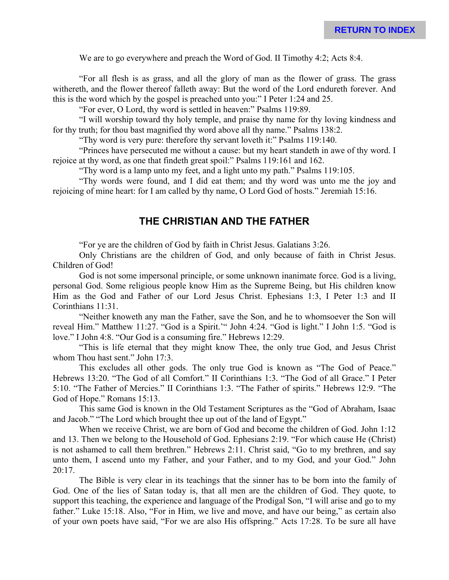We are to go everywhere and preach the Word of God. II Timothy 4:2; Acts 8:4.

"For all flesh is as grass, and all the glory of man as the flower of grass. The grass withereth, and the flower thereof falleth away: But the word of the Lord endureth forever. And this is the word which by the gospel is preached unto you:" I Peter 1:24 and 25.

"For ever, O Lord, thy word is settled in heaven:" Psalms 119:89.

"I will worship toward thy holy temple, and praise thy name for thy loving kindness and for thy truth; for thou bast magnified thy word above all thy name." Psalms 138:2.

"Thy word is very pure: therefore thy servant loveth it:" Psalms 119:140.

"Princes have persecuted me without a cause: but my heart standeth in awe of thy word. I rejoice at thy word, as one that findeth great spoil:" Psalms 119:161 and 162.

"Thy word is a lamp unto my feet, and a light unto my path." Psalms 119:105.

"Thy words were found, and I did eat them; and thy word was unto me the joy and rejoicing of mine heart: for I am called by thy name, O Lord God of hosts." Jeremiah 15:16.

#### **THE CHRISTIAN AND THE FATHER**

"For ye are the children of God by faith in Christ Jesus. Galatians 3:26.

Only Christians are the children of God, and only because of faith in Christ Jesus. Children of God!

God is not some impersonal principle, or some unknown inanimate force. God is a living, personal God. Some religious people know Him as the Supreme Being, but His children know Him as the God and Father of our Lord Jesus Christ. Ephesians 1:3, I Peter 1:3 and II Corinthians 11:31.

"Neither knoweth any man the Father, save the Son, and he to whomsoever the Son will reveal Him." Matthew 11:27. "God is a Spirit.'" John 4:24. "God is light." I John 1:5. "God is love." I John 4:8. "Our God is a consuming fire." Hebrews 12:29.

"This is life eternal that they might know Thee, the only true God, and Jesus Christ whom Thou hast sent." John 17:3.

This excludes all other gods. The only true God is known as "The God of Peace." Hebrews 13:20. "The God of all Comfort." II Corinthians 1:3. "The God of all Grace." I Peter 5:10. "The Father of Mercies." II Corinthians 1:3. "The Father of spirits." Hebrews 12:9. "The God of Hope." Romans 15:13.

This same God is known in the Old Testament Scriptures as the "God of Abraham, Isaac and Jacob." "The Lord which brought thee up out of the land of Egypt."

When we receive Christ, we are born of God and become the children of God. John 1:12 and 13. Then we belong to the Household of God. Ephesians 2:19. "For which cause He (Christ) is not ashamed to call them brethren." Hebrews 2:11. Christ said, "Go to my brethren, and say unto them, I ascend unto my Father, and your Father, and to my God, and your God." John  $20:17.$ 

The Bible is very clear in its teachings that the sinner has to be born into the family of God. One of the lies of Satan today is, that all men are the children of God. They quote, to support this teaching, the experience and language of the Prodigal Son, "I will arise and go to my father." Luke 15:18. Also, "For in Him, we live and move, and have our being," as certain also of your own poets have said, "For we are also His offspring." Acts 17:28. To be sure all have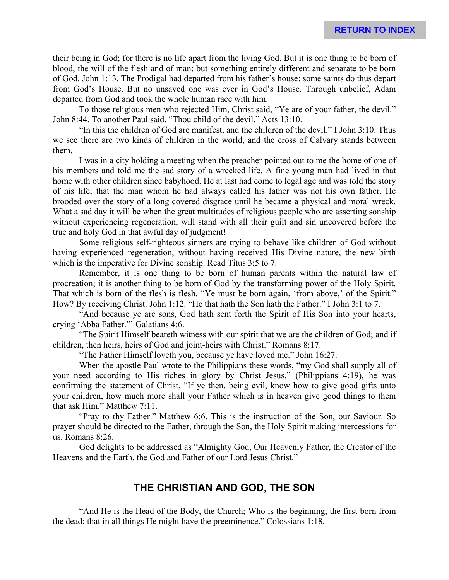their being in God; for there is no life apart from the living God. But it is one thing to be born of blood, the will of the flesh and of man; but something entirely different and separate to be born of God. John 1:13. The Prodigal had departed from his father's house: some saints do thus depart from God's House. But no unsaved one was ever in God's House. Through unbelief, Adam departed from God and took the whole human race with him.

To those religious men who rejected Him, Christ said, "Ye are of your father, the devil." John 8:44. To another Paul said, "Thou child of the devil." Acts 13:10.

"In this the children of God are manifest, and the children of the devil." I John 3:10. Thus we see there are two kinds of children in the world, and the cross of Calvary stands between them.

I was in a city holding a meeting when the preacher pointed out to me the home of one of his members and told me the sad story of a wrecked life. A fine young man had lived in that home with other children since babyhood. He at last had come to legal age and was told the story of his life; that the man whom he had always called his father was not his own father. He brooded over the story of a long covered disgrace until he became a physical and moral wreck. What a sad day it will be when the great multitudes of religious people who are asserting sonship without experiencing regeneration, will stand with all their guilt and sin uncovered before the true and holy God in that awful day of judgment!

Some religious self-righteous sinners are trying to behave like children of God without having experienced regeneration, without having received His Divine nature, the new birth which is the imperative for Divine sonship. Read Titus 3:5 to 7.

Remember, it is one thing to be born of human parents within the natural law of procreation; it is another thing to be born of God by the transforming power of the Holy Spirit. That which is born of the flesh is flesh. "Ye must be born again, 'from above,' of the Spirit." How? By receiving Christ. John 1:12. "He that hath the Son hath the Father." I John 3:1 to 7.

"And because ye are sons, God hath sent forth the Spirit of His Son into your hearts, crying 'Abba Father."' Galatians 4:6.

"The Spirit Himself beareth witness with our spirit that we are the children of God; and if children, then heirs, heirs of God and joint-heirs with Christ." Romans 8:17.

"The Father Himself loveth you, because ye have loved me." John 16:27.

When the apostle Paul wrote to the Philippians these words, "my God shall supply all of your need according to His riches in glory by Christ Jesus," (Philippians 4:19), he was confirming the statement of Christ, "If ye then, being evil, know how to give good gifts unto your children, how much more shall your Father which is in heaven give good things to them that ask Him." Matthew 7:11.

"Pray to thy Father." Matthew 6:6. This is the instruction of the Son, our Saviour. So prayer should be directed to the Father, through the Son, the Holy Spirit making intercessions for us. Romans 8:26.

God delights to be addressed as "Almighty God, Our Heavenly Father, the Creator of the Heavens and the Earth, the God and Father of our Lord Jesus Christ."

# **THE CHRISTIAN AND GOD, THE SON**

"And He is the Head of the Body, the Church; Who is the beginning, the first born from the dead; that in all things He might have the preeminence." Colossians 1:18.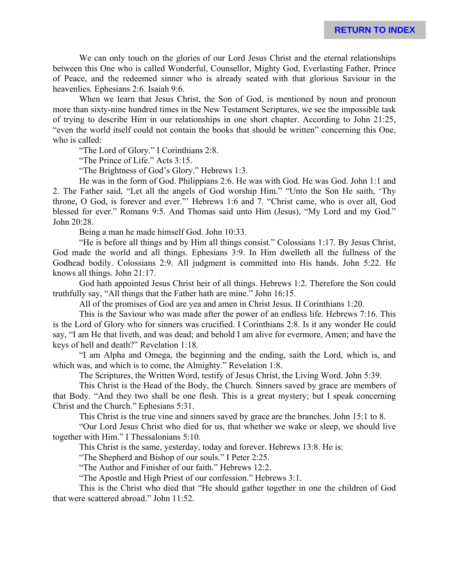We can only touch on the glories of our Lord Jesus Christ and the eternal relationships between this One who is called Wonderful, Counsellor, Mighty God, Everlasting Father, Prince of Peace, and the redeemed sinner who is already seated with that glorious Saviour in the heavenlies. Ephesians 2:6. Isaiah 9:6.

When we learn that Jesus Christ, the Son of God, is mentioned by noun and pronoun more than sixty-nine hundred times in the New Testament Scriptures, we see the impossible task of trying to describe Him in our relationships in one short chapter. According to John 21:25, "even the world itself could not contain the books that should be written" concerning this One, who is called:

"The Lord of Glory." I Corinthians 2:8.

"The Prince of Life." Acts 3:15.

"The Brightness of God's Glory." Hebrews 1:3.

He was in the form of God. Philippians 2:6. He was with God. He was God. John 1:1 and 2. The Father said, "Let all the angels of God worship Him." "Unto the Son He saith, 'Thy throne, O God, is forever and ever."' Hebrews 1:6 and 7. "Christ came, who is over all, God blessed for ever." Romans 9:5. And Thomas said unto Him (Jesus), "My Lord and my God." John 20:28.

Being a man he made himself God. John 10:33.

"He is before all things and by Him all things consist." Colossians 1:17. By Jesus Christ, God made the world and all things. Ephesians 3:9. In Him dwelleth all the fullness of the Godhead bodily. Colossians 2:9. All judgment is committed into His hands. John 5:22. He knows all things. John 21:17.

God hath appointed Jesus Christ heir of all things. Hebrews 1:2. Therefore the Son could truthfully say, "All things that the Father hath are mine." John 16:15.

All of the promises of God are yea and amen in Christ Jesus. II Corinthians 1:20.

This is the Saviour who was made after the power of an endless life. Hebrews 7:16. This is the Lord of Glory who for sinners was crucified. I Corinthians 2:8. Is it any wonder He could say, "I am He that liveth, and was dead; and behold I am alive for evermore, Amen; and have the keys of hell and death?" Revelation 1:18.

"I am Alpha and Omega, the beginning and the ending, saith the Lord, which is, and which was, and which is to come, the Almighty." Revelation 1:8.

The Scriptures, the Written Word, testify of Jesus Christ, the Living Word. John 5:39.

This Christ is the Head of the Body, the Church. Sinners saved by grace are members of that Body. "And they two shall be one flesh. This is a great mystery; but I speak concerning Christ and the Church." Ephesians 5:31.

This Christ is the true vine and sinners saved by grace are the branches. John 15:1 to 8.

"Our Lord Jesus Christ who died for us, that whether we wake or sleep, we should live together with Him." I Thessalonians 5:10.

This Christ is the same, yesterday, today and forever. Hebrews 13:8. He is:

"The Shepherd and Bishop of our souls." I Peter 2:25.

"The Author and Finisher of our faith." Hebrews 12:2.

"The Apostle and High Priest of our confession." Hebrews 3:1.

This is the Christ who died that "He should gather together in one the children of God that were scattered abroad." John 11:52.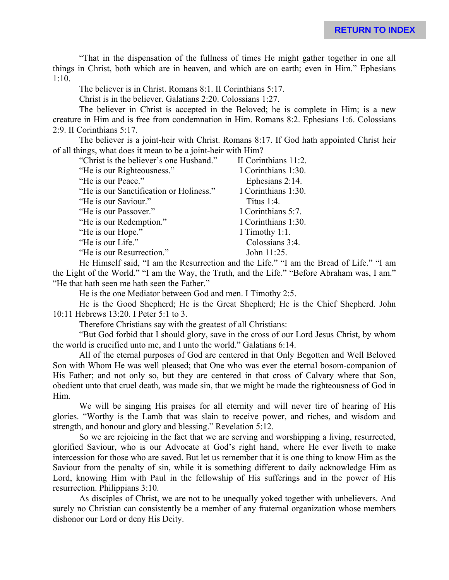"That in the dispensation of the fullness of times He might gather together in one all things in Christ, both which are in heaven, and which are on earth; even in Him." Ephesians 1:10.

The believer is in Christ. Romans 8:1. II Corinthians 5:17.

Christ is in the believer. Galatians 2:20. Colossians 1:27.

The believer in Christ is accepted in the Beloved; he is complete in Him; is a new creature in Him and is free from condemnation in Him. Romans 8:2. Ephesians 1:6. Colossians 2:9. II Corinthians 5:17.

The believer is a joint-heir with Christ. Romans 8:17. If God hath appointed Christ heir of all things, what does it mean to be a joint-heir with Him?

| "Christ is the believer's one Husband." | II Corinthians 11:2. |
|-----------------------------------------|----------------------|
| "He is our Righteousness."              | I Corinthians 1:30.  |
| "He is our Peace."                      | Ephesians 2:14.      |
| "He is our Sanctification or Holiness." | I Corinthians 1:30.  |
| "He is our Saviour."                    | Titus $1:4$ .        |
| "He is our Passover."                   | I Corinthians 5:7.   |
| "He is our Redemption."                 | I Corinthians 1:30.  |
| "He is our Hope."                       | I Timothy 1:1.       |
| "He is our Life."                       | Colossians 3:4.      |
| "He is our Resurrection."               | John 11:25.          |

He Himself said, "I am the Resurrection and the Life." "I am the Bread of Life." "I am the Light of the World." "I am the Way, the Truth, and the Life." "Before Abraham was, I am." "He that hath seen me hath seen the Father."

He is the one Mediator between God and men. I Timothy 2:5.

He is the Good Shepherd; He is the Great Shepherd; He is the Chief Shepherd. John 10:11 Hebrews 13:20. I Peter 5:1 to 3.

Therefore Christians say with the greatest of all Christians:

"But God forbid that I should glory, save in the cross of our Lord Jesus Christ, by whom the world is crucified unto me, and I unto the world." Galatians 6:14.

All of the eternal purposes of God are centered in that Only Begotten and Well Beloved Son with Whom He was well pleased; that One who was ever the eternal bosom-companion of His Father; and not only so, but they are centered in that cross of Calvary where that Son, obedient unto that cruel death, was made sin, that we might be made the righteousness of God in Him.

We will be singing His praises for all eternity and will never tire of hearing of His glories. "Worthy is the Lamb that was slain to receive power, and riches, and wisdom and strength, and honour and glory and blessing." Revelation 5:12.

So we are rejoicing in the fact that we are serving and worshipping a living, resurrected, glorified Saviour, who is our Advocate at God's right hand, where He ever liveth to make intercession for those who are saved. But let us remember that it is one thing to know Him as the Saviour from the penalty of sin, while it is something different to daily acknowledge Him as Lord, knowing Him with Paul in the fellowship of His sufferings and in the power of His resurrection. Philippians 3:10.

As disciples of Christ, we are not to be unequally yoked together with unbelievers. And surely no Christian can consistently be a member of any fraternal organization whose members dishonor our Lord or deny His Deity.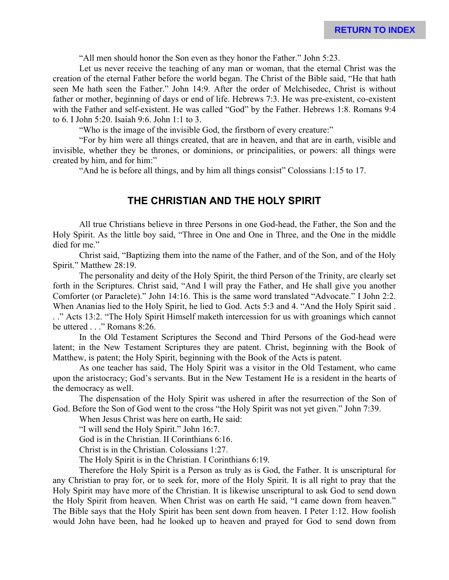"All men should honor the Son even as they honor the Father." John 5:23.

Let us never receive the teaching of any man or woman, that the eternal Christ was the creation of the eternal Father before the world began. The Christ of the Bible said, "He that hath seen Me hath seen the Father." John 14:9. After the order of Melchisedec, Christ is without father or mother, beginning of days or end of life. Hebrews 7:3. He was pre-existent, co-existent with the Father and self-existent. He was called "God" by the Father. Hebrews 1:8. Romans 9:4 to 6. I John 5:20. Isaiah 9:6. John 1:1 to 3.

"Who is the image of the invisible God, the firstborn of every creature:"

"For by him were all things created, that are in heaven, and that are in earth, visible and invisible, whether they be thrones, or dominions, or principalities, or powers: all things were created by him, and for him:"

"And he is before all things, and by him all things consist" Colossians 1:15 to 17.

#### **THE CHRISTIAN AND THE HOLY SPIRIT**

All true Christians believe in three Persons in one God-head, the Father, the Son and the Holy Spirit. As the little boy said, "Three in One and One in Three, and the One in the middle died for me."

Christ said, "Baptizing them into the name of the Father, and of the Son, and of the Holy Spirit." Matthew 28:19.

The personality and deity of the Holy Spirit, the third Person of the Trinity, are clearly set forth in the Scriptures. Christ said, "And I will pray the Father, and He shall give you another Comforter (or Paraclete)." John 14:16. This is the same word translated "Advocate." I John 2:2. When Ananias lied to the Holy Spirit, he lied to God. Acts 5:3 and 4. "And the Holy Spirit said . . ." Acts 13:2. "The Holy Spirit Himself maketh intercession for us with groanings which cannot be uttered . . ." Romans 8:26.

In the Old Testament Scriptures the Second and Third Persons of the God-head were latent; in the New Testament Scriptures they are patent. Christ, beginning with the Book of Matthew, is patent; the Holy Spirit, beginning with the Book of the Acts is patent.

As one teacher has said, The Holy Spirit was a visitor in the Old Testament, who came upon the aristocracy; God's servants. But in the New Testament He is a resident in the hearts of the democracy as well.

The dispensation of the Holy Spirit was ushered in after the resurrection of the Son of God. Before the Son of God went to the cross "the Holy Spirit was not yet given." John 7:39.

When Jesus Christ was here on earth, He said:

"I will send the Holy Spirit." John 16:7.

God is in the Christian. II Corinthians 6:16.

Christ is in the Christian. Colossians 1:27.

The Holy Spirit is in the Christian. I Corinthians 6:19.

Therefore the Holy Spirit is a Person as truly as is God, the Father. It is unscriptural for any Christian to pray for, or to seek for, more of the Holy Spirit. It is all right to pray that the Holy Spirit may have more of the Christian. It is likewise unscriptural to ask God to send down the Holy Spirit from heaven. When Christ was on earth He said, "I came down from heaven." The Bible says that the Holy Spirit has been sent down from heaven. I Peter 1:12. How foolish would John have been, had he looked up to heaven and prayed for God to send down from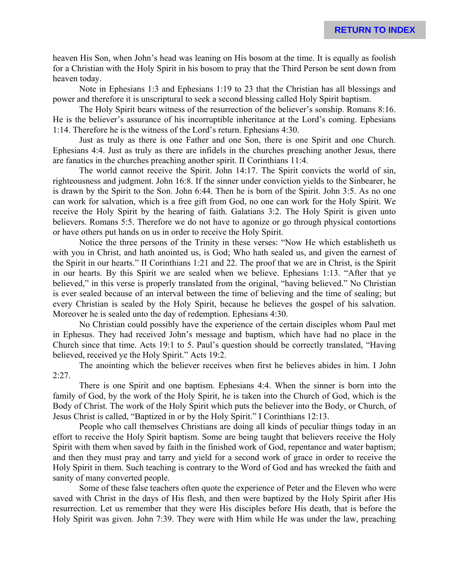heaven His Son, when John's head was leaning on His bosom at the time. It is equally as foolish for a Christian with the Holy Spirit in his bosom to pray that the Third Person be sent down from heaven today.

Note in Ephesians 1:3 and Ephesians 1:19 to 23 that the Christian has all blessings and power and therefore it is unscriptural to seek a second blessing called Holy Spirit baptism.

The Holy Spirit bears witness of the resurrection of the believer's sonship. Romans 8:16. He is the believer's assurance of his incorruptible inheritance at the Lord's coming. Ephesians 1:14. Therefore he is the witness of the Lord's return. Ephesians 4:30.

Just as truly as there is one Father and one Son, there is one Spirit and one Church. Ephesians 4:4. Just as truly as there are infidels in the churches preaching another Jesus, there are fanatics in the churches preaching another spirit. II Corinthians 11:4.

The world cannot receive the Spirit. John 14:17. The Spirit convicts the world of sin, righteousness and judgment. John 16:8. If the sinner under conviction yields to the Sinbearer, he is drawn by the Spirit to the Son. John 6:44. Then he is born of the Spirit. John 3:5. As no one can work for salvation, which is a free gift from God, no one can work for the Holy Spirit. We receive the Holy Spirit by the hearing of faith. Galatians 3:2. The Holy Spirit is given unto believers. Romans 5:5. Therefore we do not have to agonize or go through physical contortions or have others put hands on us in order to receive the Holy Spirit.

Notice the three persons of the Trinity in these verses: "Now He which establisheth us with you in Christ, and hath anointed us, is God; Who hath sealed us, and given the earnest of the Spirit in our hearts." II Corinthians 1:21 and 22. The proof that we are in Christ, is the Spirit in our hearts. By this Spirit we are sealed when we believe. Ephesians 1:13. "After that ye believed," in this verse is properly translated from the original, "having believed." No Christian is ever sealed because of an interval between the time of believing and the time of sealing; but every Christian is sealed by the Holy Spirit, because he believes the gospel of his salvation. Moreover he is sealed unto the day of redemption. Ephesians 4:30.

No Christian could possibly have the experience of the certain disciples whom Paul met in Ephesus. They had received John's message and baptism, which have had no place in the Church since that time. Acts 19:1 to 5. Paul's question should be correctly translated, "Having believed, received ye the Holy Spirit." Acts 19:2.

The anointing which the believer receives when first he believes abides in him. I John  $2:27.$ 

There is one Spirit and one baptism. Ephesians 4:4. When the sinner is born into the family of God, by the work of the Holy Spirit, he is taken into the Church of God, which is the Body of Christ. The work of the Holy Spirit which puts the believer into the Body, or Church, of Jesus Christ is called, "Baptized in or by the Holy Spirit." I Corinthians 12:13.

People who call themselves Christians are doing all kinds of peculiar things today in an effort to receive the Holy Spirit baptism. Some are being taught that believers receive the Holy Spirit with them when saved by faith in the finished work of God, repentance and water baptism; and then they must pray and tarry and yield for a second work of grace in order to receive the Holy Spirit in them. Such teaching is contrary to the Word of God and has wrecked the faith and sanity of many converted people.

Some of these false teachers often quote the experience of Peter and the Eleven who were saved with Christ in the days of His flesh, and then were baptized by the Holy Spirit after His resurrection. Let us remember that they were His disciples before His death, that is before the Holy Spirit was given. John 7:39. They were with Him while He was under the law, preaching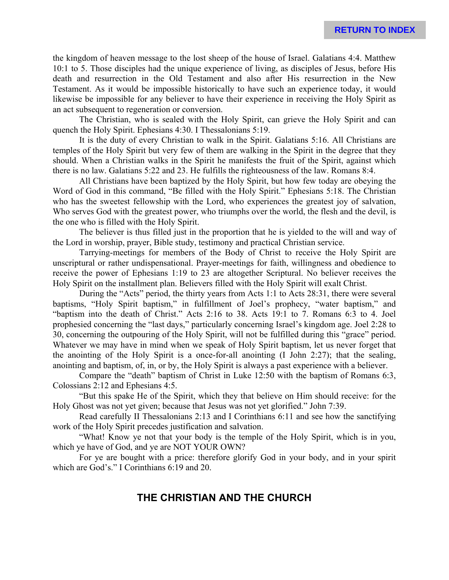the kingdom of heaven message to the lost sheep of the house of Israel. Galatians 4:4. Matthew 10:1 to 5. Those disciples had the unique experience of living, as disciples of Jesus, before His death and resurrection in the Old Testament and also after His resurrection in the New Testament. As it would be impossible historically to have such an experience today, it would likewise be impossible for any believer to have their experience in receiving the Holy Spirit as an act subsequent to regeneration or conversion.

The Christian, who is sealed with the Holy Spirit, can grieve the Holy Spirit and can quench the Holy Spirit. Ephesians 4:30. I Thessalonians 5:19.

It is the duty of every Christian to walk in the Spirit. Galatians 5:16. All Christians are temples of the Holy Spirit but very few of them are walking in the Spirit in the degree that they should. When a Christian walks in the Spirit he manifests the fruit of the Spirit, against which there is no law. Galatians 5:22 and 23. He fulfills the righteousness of the law. Romans 8:4.

All Christians have been baptized by the Holy Spirit, but how few today are obeying the Word of God in this command, "Be filled with the Holy Spirit." Ephesians 5:18. The Christian who has the sweetest fellowship with the Lord, who experiences the greatest joy of salvation, Who serves God with the greatest power, who triumphs over the world, the flesh and the devil, is the one who is filled with the Holy Spirit.

The believer is thus filled just in the proportion that he is yielded to the will and way of the Lord in worship, prayer, Bible study, testimony and practical Christian service.

Tarrying-meetings for members of the Body of Christ to receive the Holy Spirit are unscriptural or rather undispensational. Prayer-meetings for faith, willingness and obedience to receive the power of Ephesians 1:19 to 23 are altogether Scriptural. No believer receives the Holy Spirit on the installment plan. Believers filled with the Holy Spirit will exalt Christ.

During the "Acts" period, the thirty years from Acts 1:1 to Acts 28:31, there were several baptisms, "Holy Spirit baptism," in fulfillment of Joel's prophecy, "water baptism," and "baptism into the death of Christ." Acts 2:16 to 38. Acts 19:1 to 7. Romans 6:3 to 4. Joel prophesied concerning the "last days," particularly concerning Israel's kingdom age. Joel 2:28 to 30, concerning the outpouring of the Holy Spirit, will not be fulfilled during this "grace" period. Whatever we may have in mind when we speak of Holy Spirit baptism, let us never forget that the anointing of the Holy Spirit is a once-for-all anointing (I John 2:27); that the sealing, anointing and baptism, of, in, or by, the Holy Spirit is always a past experience with a believer.

Compare the "death" baptism of Christ in Luke 12:50 with the baptism of Romans 6:3, Colossians 2:12 and Ephesians 4:5.

"But this spake He of the Spirit, which they that believe on Him should receive: for the Holy Ghost was not yet given; because that Jesus was not yet glorified." John 7:39.

Read carefully II Thessalonians 2:13 and I Corinthians 6:11 and see how the sanctifying work of the Holy Spirit precedes justification and salvation.

"What! Know ye not that your body is the temple of the Holy Spirit, which is in you, which ye have of God, and ye are NOT YOUR OWN?

For ye are bought with a price: therefore glorify God in your body, and in your spirit which are God's." I Corinthians 6:19 and 20.

# **THE CHRISTIAN AND THE CHURCH**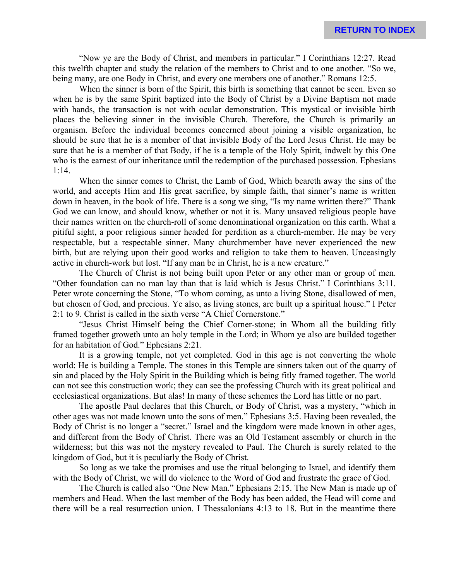"Now ye are the Body of Christ, and members in particular." I Corinthians 12:27. Read this twelfth chapter and study the relation of the members to Christ and to one another. "So we, being many, are one Body in Christ, and every one members one of another." Romans 12:5.

When the sinner is born of the Spirit, this birth is something that cannot be seen. Even so when he is by the same Spirit baptized into the Body of Christ by a Divine Baptism not made with hands, the transaction is not with ocular demonstration. This mystical or invisible birth places the believing sinner in the invisible Church. Therefore, the Church is primarily an organism. Before the individual becomes concerned about joining a visible organization, he should be sure that he is a member of that invisible Body of the Lord Jesus Christ. He may be sure that he is a member of that Body, if he is a temple of the Holy Spirit, indwelt by this One who is the earnest of our inheritance until the redemption of the purchased possession. Ephesians 1:14.

When the sinner comes to Christ, the Lamb of God, Which beareth away the sins of the world, and accepts Him and His great sacrifice, by simple faith, that sinner's name is written down in heaven, in the book of life. There is a song we sing, "Is my name written there?" Thank God we can know, and should know, whether or not it is. Many unsaved religious people have their names written on the church-roll of some denominational organization on this earth. What a pitiful sight, a poor religious sinner headed for perdition as a church-member. He may be very respectable, but a respectable sinner. Many churchmember have never experienced the new birth, but are relying upon their good works and religion to take them to heaven. Unceasingly active in church-work but lost. "If any man be in Christ, he is a new creature."

The Church of Christ is not being built upon Peter or any other man or group of men. "Other foundation can no man lay than that is laid which is Jesus Christ." I Corinthians 3:11. Peter wrote concerning the Stone, "To whom coming, as unto a living Stone, disallowed of men, but chosen of God, and precious. Ye also, as living stones, are built up a spiritual house." I Peter 2:1 to 9. Christ is called in the sixth verse "A Chief Cornerstone."

"Jesus Christ Himself being the Chief Corner-stone; in Whom all the building fitly framed together groweth unto an holy temple in the Lord; in Whom ye also are builded together for an habitation of God." Ephesians 2:21.

It is a growing temple, not yet completed. God in this age is not converting the whole world: He is building a Temple. The stones in this Temple are sinners taken out of the quarry of sin and placed by the Holy Spirit in the Building which is being fitly framed together. The world can not see this construction work; they can see the professing Church with its great political and ecclesiastical organizations. But alas! In many of these schemes the Lord has little or no part.

The apostle Paul declares that this Church, or Body of Christ, was a mystery, "which in other ages was not made known unto the sons of men." Ephesians 3:5. Having been revealed, the Body of Christ is no longer a "secret." Israel and the kingdom were made known in other ages, and different from the Body of Christ. There was an Old Testament assembly or church in the wilderness; but this was not the mystery revealed to Paul. The Church is surely related to the kingdom of God, but it is peculiarly the Body of Christ.

So long as we take the promises and use the ritual belonging to Israel, and identify them with the Body of Christ, we will do violence to the Word of God and frustrate the grace of God.

The Church is called also "One New Man." Ephesians 2:15. The New Man is made up of members and Head. When the last member of the Body has been added, the Head will come and there will be a real resurrection union. I Thessalonians 4:13 to 18. But in the meantime there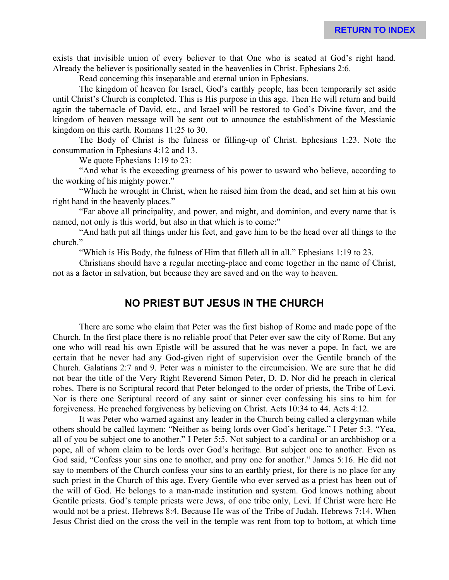exists that invisible union of every believer to that One who is seated at God's right hand. Already the believer is positionally seated in the heavenlies in Christ. Ephesians 2:6.

Read concerning this inseparable and eternal union in Ephesians.

The kingdom of heaven for Israel, God's earthly people, has been temporarily set aside until Christ's Church is completed. This is His purpose in this age. Then He will return and build again the tabernacle of David, etc., and Israel will be restored to God's Divine favor, and the kingdom of heaven message will be sent out to announce the establishment of the Messianic kingdom on this earth. Romans 11:25 to 30.

The Body of Christ is the fulness or filling-up of Christ. Ephesians 1:23. Note the consummation in Ephesians 4:12 and 13.

We quote Ephesians 1:19 to 23:

"And what is the exceeding greatness of his power to usward who believe, according to the working of his mighty power."

"Which he wrought in Christ, when he raised him from the dead, and set him at his own right hand in the heavenly places."

"Far above all principality, and power, and might, and dominion, and every name that is named, not only is this world, but also in that which is to come:"

"And hath put all things under his feet, and gave him to be the head over all things to the church."

"Which is His Body, the fulness of Him that filleth all in all." Ephesians 1:19 to 23.

Christians should have a regular meeting-place and come together in the name of Christ, not as a factor in salvation, but because they are saved and on the way to heaven.

# **NO PRIEST BUT JESUS IN THE CHURCH**

There are some who claim that Peter was the first bishop of Rome and made pope of the Church. In the first place there is no reliable proof that Peter ever saw the city of Rome. But any one who will read his own Epistle will be assured that he was never a pope. In fact, we are certain that he never had any God-given right of supervision over the Gentile branch of the Church. Galatians 2:7 and 9. Peter was a minister to the circumcision. We are sure that he did not bear the title of the Very Right Reverend Simon Peter, D. D. Nor did he preach in clerical robes. There is no Scriptural record that Peter belonged to the order of priests, the Tribe of Levi. Nor is there one Scriptural record of any saint or sinner ever confessing his sins to him for forgiveness. He preached forgiveness by believing on Christ. Acts 10:34 to 44. Acts 4:12.

It was Peter who warned against any leader in the Church being called a clergyman while others should be called laymen: "Neither as being lords over God's heritage." I Peter 5:3. "Yea, all of you be subject one to another." I Peter 5:5. Not subject to a cardinal or an archbishop or a pope, all of whom claim to be lords over God's heritage. But subject one to another. Even as God said, "Confess your sins one to another, and pray one for another." James 5:16. He did not say to members of the Church confess your sins to an earthly priest, for there is no place for any such priest in the Church of this age. Every Gentile who ever served as a priest has been out of the will of God. He belongs to a man-made institution and system. God knows nothing about Gentile priests. God's temple priests were Jews, of one tribe only, Levi. If Christ were here He would not be a priest. Hebrews 8:4. Because He was of the Tribe of Judah. Hebrews 7:14. When Jesus Christ died on the cross the veil in the temple was rent from top to bottom, at which time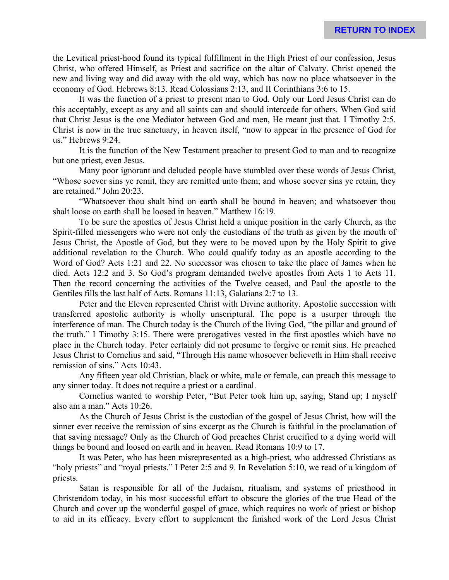the Levitical priest-hood found its typical fulfillment in the High Priest of our confession, Jesus Christ, who offered Himself, as Priest and sacrifice on the altar of Calvary. Christ opened the new and living way and did away with the old way, which has now no place whatsoever in the economy of God. Hebrews 8:13. Read Colossians 2:13, and II Corinthians 3:6 to 15.

It was the function of a priest to present man to God. Only our Lord Jesus Christ can do this acceptably, except as any and all saints can and should intercede for others. When God said that Christ Jesus is the one Mediator between God and men, He meant just that. I Timothy 2:5. Christ is now in the true sanctuary, in heaven itself, "now to appear in the presence of God for us." Hebrews 9:24.

It is the function of the New Testament preacher to present God to man and to recognize but one priest, even Jesus.

Many poor ignorant and deluded people have stumbled over these words of Jesus Christ, "Whose soever sins ye remit, they are remitted unto them; and whose soever sins ye retain, they are retained." John 20:23.

"Whatsoever thou shalt bind on earth shall be bound in heaven; and whatsoever thou shalt loose on earth shall be loosed in heaven." Matthew 16:19.

To be sure the apostles of Jesus Christ held a unique position in the early Church, as the Spirit-filled messengers who were not only the custodians of the truth as given by the mouth of Jesus Christ, the Apostle of God, but they were to be moved upon by the Holy Spirit to give additional revelation to the Church. Who could qualify today as an apostle according to the Word of God? Acts 1:21 and 22. No successor was chosen to take the place of James when he died. Acts 12:2 and 3. So God's program demanded twelve apostles from Acts 1 to Acts 11. Then the record concerning the activities of the Twelve ceased, and Paul the apostle to the Gentiles fills the last half of Acts. Romans 11:13, Galatians 2:7 to 13.

Peter and the Eleven represented Christ with Divine authority. Apostolic succession with transferred apostolic authority is wholly unscriptural. The pope is a usurper through the interference of man. The Church today is the Church of the living God, "the pillar and ground of the truth." I Timothy 3:15. There were prerogatives vested in the first apostles which have no place in the Church today. Peter certainly did not presume to forgive or remit sins. He preached Jesus Christ to Cornelius and said, "Through His name whosoever believeth in Him shall receive remission of sins." Acts 10:43.

Any fifteen year old Christian, black or white, male or female, can preach this message to any sinner today. It does not require a priest or a cardinal.

Cornelius wanted to worship Peter, "But Peter took him up, saying, Stand up; I myself also am a man." Acts 10:26.

As the Church of Jesus Christ is the custodian of the gospel of Jesus Christ, how will the sinner ever receive the remission of sins excerpt as the Church is faithful in the proclamation of that saving message? Only as the Church of God preaches Christ crucified to a dying world will things be bound and loosed on earth and in heaven. Read Romans 10:9 to 17.

It was Peter, who has been misrepresented as a high-priest, who addressed Christians as "holy priests" and "royal priests." I Peter 2:5 and 9. In Revelation 5:10, we read of a kingdom of priests.

Satan is responsible for all of the Judaism, ritualism, and systems of priesthood in Christendom today, in his most successful effort to obscure the glories of the true Head of the Church and cover up the wonderful gospel of grace, which requires no work of priest or bishop to aid in its efficacy. Every effort to supplement the finished work of the Lord Jesus Christ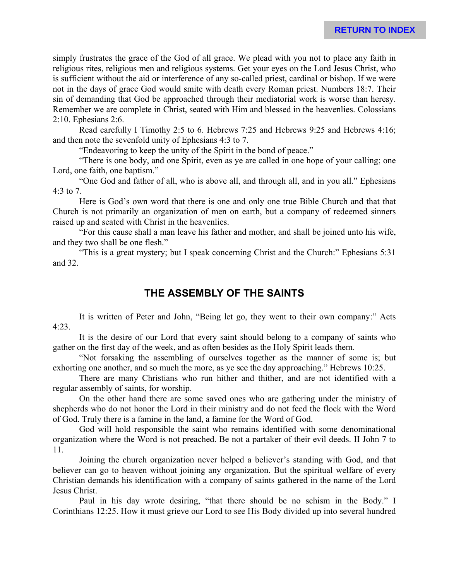simply frustrates the grace of the God of all grace. We plead with you not to place any faith in religious rites, religious men and religious systems. Get your eyes on the Lord Jesus Christ, who is sufficient without the aid or interference of any so-called priest, cardinal or bishop. If we were not in the days of grace God would smite with death every Roman priest. Numbers 18:7. Their sin of demanding that God be approached through their mediatorial work is worse than heresy. Remember we are complete in Christ, seated with Him and blessed in the heavenlies. Colossians 2:10. Ephesians 2:6.

Read carefully I Timothy 2:5 to 6. Hebrews 7:25 and Hebrews 9:25 and Hebrews 4:16; and then note the sevenfold unity of Ephesians 4:3 to 7.

"Endeavoring to keep the unity of the Spirit in the bond of peace."

"There is one body, and one Spirit, even as ye are called in one hope of your calling; one Lord, one faith, one baptism."

"One God and father of all, who is above all, and through all, and in you all." Ephesians 4:3 to 7.

Here is God's own word that there is one and only one true Bible Church and that that Church is not primarily an organization of men on earth, but a company of redeemed sinners raised up and seated with Christ in the heavenlies.

"For this cause shall a man leave his father and mother, and shall be joined unto his wife, and they two shall be one flesh."

"This is a great mystery; but I speak concerning Christ and the Church:" Ephesians 5:31 and 32.

# **THE ASSEMBLY OF THE SAINTS**

It is written of Peter and John, "Being let go, they went to their own company:" Acts 4:23.

It is the desire of our Lord that every saint should belong to a company of saints who gather on the first day of the week, and as often besides as the Holy Spirit leads them.

"Not forsaking the assembling of ourselves together as the manner of some is; but exhorting one another, and so much the more, as ye see the day approaching." Hebrews 10:25.

There are many Christians who run hither and thither, and are not identified with a regular assembly of saints, for worship.

On the other hand there are some saved ones who are gathering under the ministry of shepherds who do not honor the Lord in their ministry and do not feed the flock with the Word of God. Truly there is a famine in the land, a famine for the Word of God.

God will hold responsible the saint who remains identified with some denominational organization where the Word is not preached. Be not a partaker of their evil deeds. II John 7 to 11.

Joining the church organization never helped a believer's standing with God, and that believer can go to heaven without joining any organization. But the spiritual welfare of every Christian demands his identification with a company of saints gathered in the name of the Lord Jesus Christ.

Paul in his day wrote desiring, "that there should be no schism in the Body." I Corinthians 12:25. How it must grieve our Lord to see His Body divided up into several hundred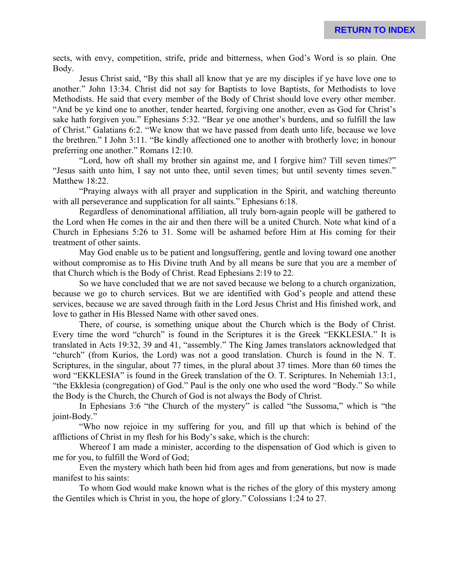sects, with envy, competition, strife, pride and bitterness, when God's Word is so plain. One Body.

Jesus Christ said, "By this shall all know that ye are my disciples if ye have love one to another." John 13:34. Christ did not say for Baptists to love Baptists, for Methodists to love Methodists. He said that every member of the Body of Christ should love every other member. "And be ye kind one to another, tender hearted, forgiving one another, even as God for Christ's sake hath forgiven you." Ephesians 5:32. "Bear ye one another's burdens, and so fulfill the law of Christ." Galatians 6:2. "We know that we have passed from death unto life, because we love the brethren." I John 3:11. "Be kindly affectioned one to another with brotherly love; in honour preferring one another." Romans 12:10.

"Lord, how oft shall my brother sin against me, and I forgive him? Till seven times?" "Jesus saith unto him, I say not unto thee, until seven times; but until seventy times seven." Matthew 18:22.

"Praying always with all prayer and supplication in the Spirit, and watching thereunto with all perseverance and supplication for all saints." Ephesians 6:18.

Regardless of denominational affiliation, all truly born-again people will be gathered to the Lord when He comes in the air and then there will be a united Church. Note what kind of a Church in Ephesians 5:26 to 31. Some will be ashamed before Him at His coming for their treatment of other saints.

May God enable us to be patient and longsuffering, gentle and loving toward one another without compromise as to His Divine truth And by all means be sure that you are a member of that Church which is the Body of Christ. Read Ephesians 2:19 to 22.

So we have concluded that we are not saved because we belong to a church organization, because we go to church services. But we are identified with God's people and attend these services, because we are saved through faith in the Lord Jesus Christ and His finished work, and love to gather in His Blessed Name with other saved ones.

There, of course, is something unique about the Church which is the Body of Christ. Every time the word "church" is found in the Scriptures it is the Greek "EKKLESIA." It is translated in Acts 19:32, 39 and 41, "assembly." The King James translators acknowledged that "church" (from Kurios, the Lord) was not a good translation. Church is found in the N. T. Scriptures, in the singular, about 77 times, in the plural about 37 times. More than 60 times the word "EKKLESIA" is found in the Greek translation of the O. T. Scriptures. In Nehemiah 13:1, "the Ekklesia (congregation) of God." Paul is the only one who used the word "Body." So while the Body is the Church, the Church of God is not always the Body of Christ.

In Ephesians 3:6 "the Church of the mystery" is called "the Sussoma," which is "the joint-Body."

"Who now rejoice in my suffering for you, and fill up that which is behind of the afflictions of Christ in my flesh for his Body's sake, which is the church:

Whereof I am made a minister, according to the dispensation of God which is given to me for you, to fulfill the Word of God;

Even the mystery which hath been hid from ages and from generations, but now is made manifest to his saints:

To whom God would make known what is the riches of the glory of this mystery among the Gentiles which is Christ in you, the hope of glory." Colossians 1:24 to 27.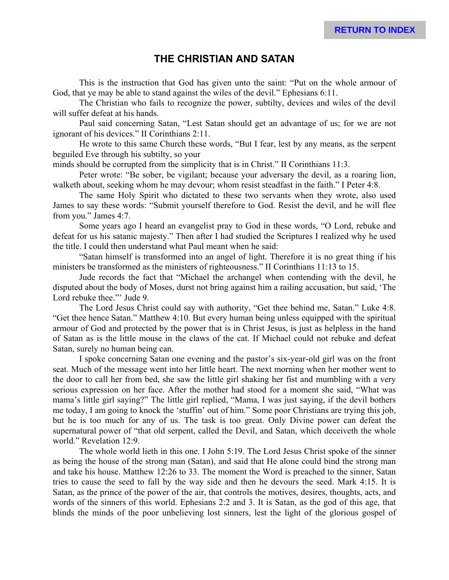# **THE CHRISTIAN AND SATAN**

This is the instruction that God has given unto the saint: "Put on the whole armour of God, that ye may be able to stand against the wiles of the devil." Ephesians 6:11.

The Christian who fails to recognize the power, subtilty, devices and wiles of the devil will suffer defeat at his hands.

Paul said concerning Satan, "Lest Satan should get an advantage of us; for we are not ignorant of his devices." II Corinthians 2:11.

He wrote to this same Church these words, "But I fear, lest by any means, as the serpent beguiled Eve through his subtilty, so your

minds should be corrupted from the simplicity that is in Christ." II Corinthians 11:3.

Peter wrote: "Be sober, be vigilant; because your adversary the devil, as a roaring lion, walketh about, seeking whom he may devour; whom resist steadfast in the faith." I Peter 4:8.

The same Holy Spirit who dictated to these two servants when they wrote, also used James to say these words: "Submit yourself therefore to God. Resist the devil, and he will flee from you." James 4:7.

Some years ago I heard an evangelist pray to God in these words, "O Lord, rebuke and defeat for us his satanic majesty." Then after I had studied the Scriptures I realized why he used the title. I could then understand what Paul meant when he said:

"Satan himself is transformed into an angel of light. Therefore it is no great thing if his ministers be transformed as the ministers of righteousness." II Corinthians 11:13 to 15.

Jude records the fact that "Michael the archangel when contending with the devil, he disputed about the body of Moses, durst not bring against him a railing accusation, but said, 'The Lord rebuke thee."' Jude 9.

The Lord Jesus Christ could say with authority, "Get thee behind me, Satan." Luke 4:8. "Get thee hence Satan." Matthew 4:10. But every human being unless equipped with the spiritual armour of God and protected by the power that is in Christ Jesus, is just as helpless in the hand of Satan as is the little mouse in the claws of the cat. If Michael could not rebuke and defeat Satan, surely no human being can.

I spoke concerning Satan one evening and the pastor's six-year-old girl was on the front seat. Much of the message went into her little heart. The next morning when her mother went to the door to call her from bed, she saw the little girl shaking her fist and mumbling with a very serious expression on her face. After the mother had stood for a moment she said, "What was mama's little girl saying?" The little girl replied, "Mama, I was just saying, if the devil bothers me today, I am going to knock the 'stuffin' out of him." Some poor Christians are trying this job, but he is too much for any of us. The task is too great. Only Divine power can defeat the supernatural power of "that old serpent, called the Devil, and Satan, which deceiveth the whole world." Revelation 12:9.

The whole world lieth in this one. I John 5:19. The Lord Jesus Christ spoke of the sinner as being the house of the strong man (Satan), and said that He alone could bind the strong man and take his house. Matthew 12:26 to 33. The moment the Word is preached to the sinner, Satan tries to cause the seed to fall by the way side and then he devours the seed. Mark 4:15. It is Satan, as the prince of the power of the air, that controls the motives, desires, thoughts, acts, and words of the sinners of this world. Ephesians 2:2 and 3. It is Satan, as the god of this age, that blinds the minds of the poor unbelieving lost sinners, lest the light of the glorious gospel of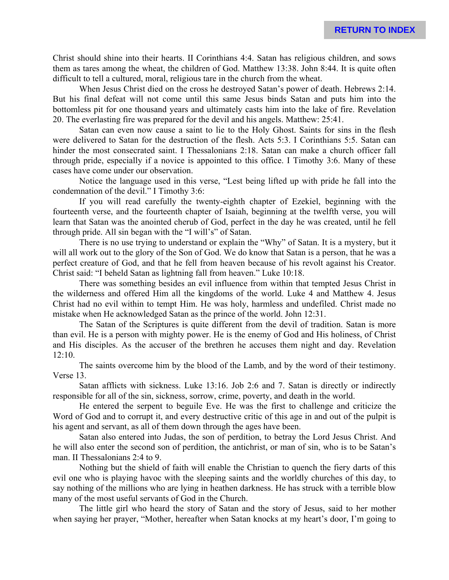Christ should shine into their hearts. II Corinthians 4:4. Satan has religious children, and sows them as tares among the wheat, the children of God. Matthew 13:38. John 8:44. It is quite often difficult to tell a cultured, moral, religious tare in the church from the wheat.

When Jesus Christ died on the cross he destroyed Satan's power of death. Hebrews 2:14. But his final defeat will not come until this same Jesus binds Satan and puts him into the bottomless pit for one thousand years and ultimately casts him into the lake of fire. Revelation 20. The everlasting fire was prepared for the devil and his angels. Matthew: 25:41.

Satan can even now cause a saint to lie to the Holy Ghost. Saints for sins in the flesh were delivered to Satan for the destruction of the flesh. Acts 5:3. I Corinthians 5:5. Satan can hinder the most consecrated saint. I Thessalonians 2:18. Satan can make a church officer fall through pride, especially if a novice is appointed to this office. I Timothy 3:6. Many of these cases have come under our observation.

Notice the language used in this verse, "Lest being lifted up with pride he fall into the condemnation of the devil." I Timothy 3:6:

If you will read carefully the twenty-eighth chapter of Ezekiel, beginning with the fourteenth verse, and the fourteenth chapter of Isaiah, beginning at the twelfth verse, you will learn that Satan was the anointed cherub of God, perfect in the day he was created, until he fell through pride. All sin began with the "I will's" of Satan.

There is no use trying to understand or explain the "Why" of Satan. It is a mystery, but it will all work out to the glory of the Son of God. We do know that Satan is a person, that he was a perfect creature of God, and that he fell from heaven because of his revolt against his Creator. Christ said: "I beheld Satan as lightning fall from heaven." Luke 10:18.

There was something besides an evil influence from within that tempted Jesus Christ in the wilderness and offered Him all the kingdoms of the world. Luke 4 and Matthew 4. Jesus Christ had no evil within to tempt Him. He was holy, harmless and undefiled. Christ made no mistake when He acknowledged Satan as the prince of the world. John 12:31.

The Satan of the Scriptures is quite different from the devil of tradition. Satan is more than evil. He is a person with mighty power. He is the enemy of God and His holiness, of Christ and His disciples. As the accuser of the brethren he accuses them night and day. Revelation 12:10.

The saints overcome him by the blood of the Lamb, and by the word of their testimony. Verse 13.

Satan afflicts with sickness. Luke 13:16. Job 2:6 and 7. Satan is directly or indirectly responsible for all of the sin, sickness, sorrow, crime, poverty, and death in the world.

He entered the serpent to beguile Eve. He was the first to challenge and criticize the Word of God and to corrupt it, and every destructive critic of this age in and out of the pulpit is his agent and servant, as all of them down through the ages have been.

Satan also entered into Judas, the son of perdition, to betray the Lord Jesus Christ. And he will also enter the second son of perdition, the antichrist, or man of sin, who is to be Satan's man. II Thessalonians 2:4 to 9.

Nothing but the shield of faith will enable the Christian to quench the fiery darts of this evil one who is playing havoc with the sleeping saints and the worldly churches of this day, to say nothing of the millions who are lying in heathen darkness. He has struck with a terrible blow many of the most useful servants of God in the Church.

The little girl who heard the story of Satan and the story of Jesus, said to her mother when saying her prayer, "Mother, hereafter when Satan knocks at my heart's door, I'm going to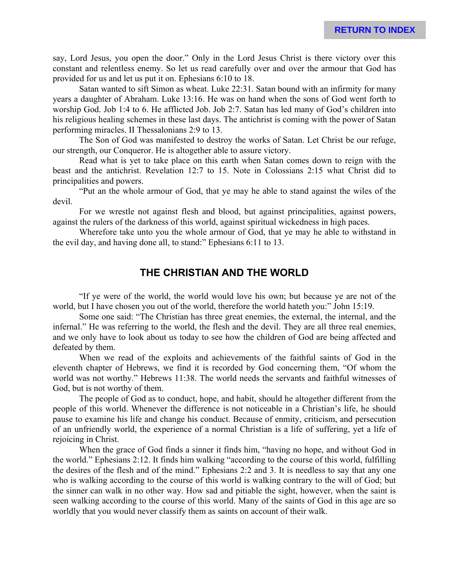**RETURN TO INDEX**

say, Lord Jesus, you open the door." Only in the Lord Jesus Christ is there victory over this constant and relentless enemy. So let us read carefully over and over the armour that God has provided for us and let us put it on. Ephesians 6:10 to 18.

Satan wanted to sift Simon as wheat. Luke 22:31. Satan bound with an infirmity for many years a daughter of Abraham. Luke 13:16. He was on hand when the sons of God went forth to worship God. Job 1:4 to 6. He afflicted Job. Job 2:7. Satan has led many of God's children into his religious healing schemes in these last days. The antichrist is coming with the power of Satan performing miracles. II Thessalonians 2:9 to 13.

The Son of God was manifested to destroy the works of Satan. Let Christ be our refuge, our strength, our Conqueror. He is altogether able to assure victory.

Read what is yet to take place on this earth when Satan comes down to reign with the beast and the antichrist. Revelation 12:7 to 15. Note in Colossians 2:15 what Christ did to principalities and powers.

"Put an the whole armour of God, that ye may he able to stand against the wiles of the devil.

For we wrestle not against flesh and blood, but against principalities, against powers, against the rulers of the darkness of this world, against spiritual wickedness in high paces.

Wherefore take unto you the whole armour of God, that ye may he able to withstand in the evil day, and having done all, to stand:" Ephesians 6:11 to 13.

#### **THE CHRISTIAN AND THE WORLD**

"If ye were of the world, the world would love his own; but because ye are not of the world, but I have chosen you out of the world, therefore the world hateth you:" John 15:19.

Some one said: "The Christian has three great enemies, the external, the internal, and the infernal." He was referring to the world, the flesh and the devil. They are all three real enemies, and we only have to look about us today to see how the children of God are being affected and defeated by them.

When we read of the exploits and achievements of the faithful saints of God in the eleventh chapter of Hebrews, we find it is recorded by God concerning them, "Of whom the world was not worthy." Hebrews 11:38. The world needs the servants and faithful witnesses of God, but is not worthy of them.

The people of God as to conduct, hope, and habit, should he altogether different from the people of this world. Whenever the difference is not noticeable in a Christian's life, he should pause to examine his life and change his conduct. Because of enmity, criticism, and persecution of an unfriendly world, the experience of a normal Christian is a life of suffering, yet a life of rejoicing in Christ.

When the grace of God finds a sinner it finds him, "having no hope, and without God in the world." Ephesians 2:12. It finds him walking "according to the course of this world, fulfilling the desires of the flesh and of the mind." Ephesians 2:2 and 3. It is needless to say that any one who is walking according to the course of this world is walking contrary to the will of God; but the sinner can walk in no other way. How sad and pitiable the sight, however, when the saint is seen walking according to the course of this world. Many of the saints of God in this age are so worldly that you would never classify them as saints on account of their walk.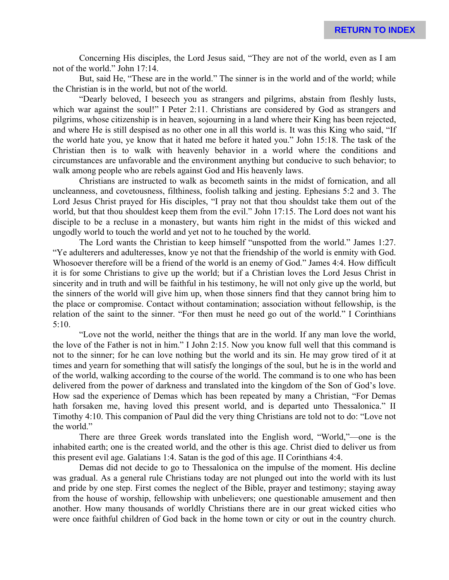Concerning His disciples, the Lord Jesus said, "They are not of the world, even as I am not of the world." John 17:14.

But, said He, "These are in the world." The sinner is in the world and of the world; while the Christian is in the world, but not of the world.

"Dearly beloved, I beseech you as strangers and pilgrims, abstain from fleshly lusts, which war against the soul!" I Peter 2:11. Christians are considered by God as strangers and pilgrims, whose citizenship is in heaven, sojourning in a land where their King has been rejected, and where He is still despised as no other one in all this world is. It was this King who said, "If the world hate you, ye know that it hated me before it hated you." John 15:18. The task of the Christian then is to walk with heavenly behavior in a world where the conditions and circumstances are unfavorable and the environment anything but conducive to such behavior; to walk among people who are rebels against God and His heavenly laws.

Christians are instructed to walk as becometh saints in the midst of fornication, and all uncleanness, and covetousness, filthiness, foolish talking and jesting. Ephesians 5:2 and 3. The Lord Jesus Christ prayed for His disciples, "I pray not that thou shouldst take them out of the world, but that thou shouldest keep them from the evil." John 17:15. The Lord does not want his disciple to be a recluse in a monastery, but wants him right in the midst of this wicked and ungodly world to touch the world and yet not to he touched by the world.

The Lord wants the Christian to keep himself "unspotted from the world." James 1:27. "Ye adulterers and adulteresses, know ye not that the friendship of the world is enmity with God. Whosoever therefore will be a friend of the world is an enemy of God." James 4:4. How difficult it is for some Christians to give up the world; but if a Christian loves the Lord Jesus Christ in sincerity and in truth and will be faithful in his testimony, he will not only give up the world, but the sinners of the world will give him up, when those sinners find that they cannot bring him to the place or compromise. Contact without contamination; association without fellowship, is the relation of the saint to the sinner. "For then must he need go out of the world." I Corinthians 5:10.

"Love not the world, neither the things that are in the world. If any man love the world, the love of the Father is not in him." I John 2:15. Now you know full well that this command is not to the sinner; for he can love nothing but the world and its sin. He may grow tired of it at times and yearn for something that will satisfy the longings of the soul, but he is in the world and of the world, walking according to the course of the world. The command is to one who has been delivered from the power of darkness and translated into the kingdom of the Son of God's love. How sad the experience of Demas which has been repeated by many a Christian, "For Demas hath forsaken me, having loved this present world, and is departed unto Thessalonica." II Timothy 4:10. This companion of Paul did the very thing Christians are told not to do: "Love not the world."

There are three Greek words translated into the English word, "World,"—one is the inhabited earth; one is the created world, and the other is this age. Christ died to deliver us from this present evil age. Galatians 1:4. Satan is the god of this age. II Corinthians 4:4.

Demas did not decide to go to Thessalonica on the impulse of the moment. His decline was gradual. As a general rule Christians today are not plunged out into the world with its lust and pride by one step. First comes the neglect of the Bible, prayer and testimony; staying away from the house of worship, fellowship with unbelievers; one questionable amusement and then another. How many thousands of worldly Christians there are in our great wicked cities who were once faithful children of God back in the home town or city or out in the country church.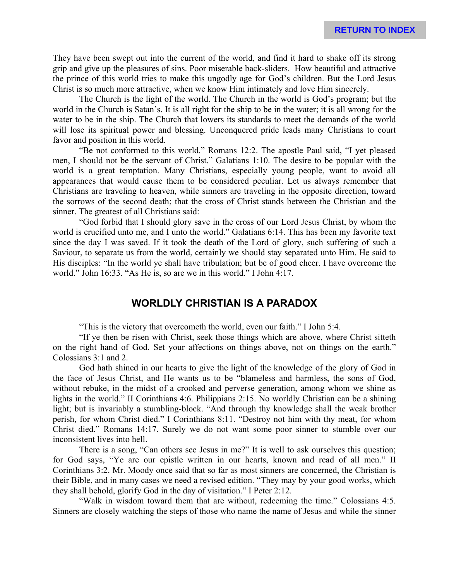They have been swept out into the current of the world, and find it hard to shake off its strong grip and give up the pleasures of sins. Poor miserable back-sliders. How beautiful and attractive the prince of this world tries to make this ungodly age for God's children. But the Lord Jesus Christ is so much more attractive, when we know Him intimately and love Him sincerely.

The Church is the light of the world. The Church in the world is God's program; but the world in the Church is Satan's. It is all right for the ship to be in the water; it is all wrong for the water to be in the ship. The Church that lowers its standards to meet the demands of the world will lose its spiritual power and blessing. Unconquered pride leads many Christians to court favor and position in this world.

"Be not conformed to this world." Romans 12:2. The apostle Paul said, "I yet pleased men, I should not be the servant of Christ." Galatians 1:10. The desire to be popular with the world is a great temptation. Many Christians, especially young people, want to avoid all appearances that would cause them to be considered peculiar. Let us always remember that Christians are traveling to heaven, while sinners are traveling in the opposite direction, toward the sorrows of the second death; that the cross of Christ stands between the Christian and the sinner. The greatest of all Christians said:

"God forbid that I should glory save in the cross of our Lord Jesus Christ, by whom the world is crucified unto me, and I unto the world." Galatians 6:14. This has been my favorite text since the day I was saved. If it took the death of the Lord of glory, such suffering of such a Saviour, to separate us from the world, certainly we should stay separated unto Him. He said to His disciples: "In the world ye shall have tribulation; but be of good cheer. I have overcome the world." John 16:33. "As He is, so are we in this world." I John 4:17.

# **WORLDLY CHRISTIAN IS A PARADOX**

"This is the victory that overcometh the world, even our faith." I John 5:4.

"If ye then be risen with Christ, seek those things which are above, where Christ sitteth on the right hand of God. Set your affections on things above, not on things on the earth." Colossians 3:1 and 2.

God hath shined in our hearts to give the light of the knowledge of the glory of God in the face of Jesus Christ, and He wants us to be "blameless and harmless, the sons of God, without rebuke, in the midst of a crooked and perverse generation, among whom we shine as lights in the world." II Corinthians 4:6. Philippians 2:15. No worldly Christian can be a shining light; but is invariably a stumbling-block. "And through thy knowledge shall the weak brother perish, for whom Christ died." I Corinthians 8:11. "Destroy not him with thy meat, for whom Christ died." Romans 14:17. Surely we do not want some poor sinner to stumble over our inconsistent lives into hell.

There is a song, "Can others see Jesus in me?" It is well to ask ourselves this question; for God says, "Ye are our epistle written in our hearts, known and read of all men." II Corinthians 3:2. Mr. Moody once said that so far as most sinners are concerned, the Christian is their Bible, and in many cases we need a revised edition. "They may by your good works, which they shall behold, glorify God in the day of visitation." I Peter 2:12.

"Walk in wisdom toward them that are without, redeeming the time." Colossians 4:5. Sinners are closely watching the steps of those who name the name of Jesus and while the sinner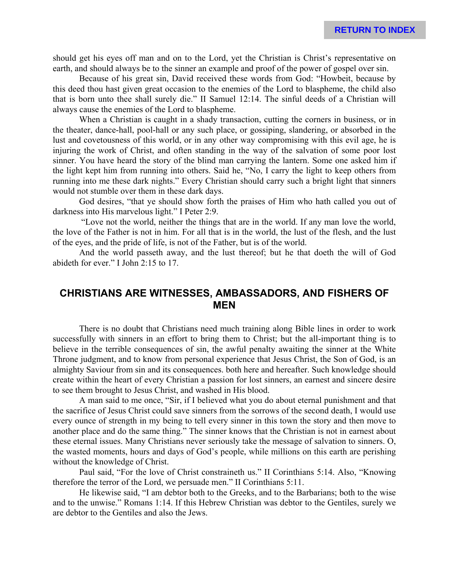should get his eyes off man and on to the Lord, yet the Christian is Christ's representative on earth, and should always be to the sinner an example and proof of the power of gospel over sin.

Because of his great sin, David received these words from God: "Howbeit, because by this deed thou hast given great occasion to the enemies of the Lord to blaspheme, the child also that is born unto thee shall surely die." II Samuel 12:14. The sinful deeds of a Christian will always cause the enemies of the Lord to blaspheme.

When a Christian is caught in a shady transaction, cutting the corners in business, or in the theater, dance-hall, pool-hall or any such place, or gossiping, slandering, or absorbed in the lust and covetousness of this world, or in any other way compromising with this evil age, he is injuring the work of Christ, and often standing in the way of the salvation of some poor lost sinner. You have heard the story of the blind man carrying the lantern. Some one asked him if the light kept him from running into others. Said he, "No, I carry the light to keep others from running into me these dark nights." Every Christian should carry such a bright light that sinners would not stumble over them in these dark days.

God desires, "that ye should show forth the praises of Him who hath called you out of darkness into His marvelous light." I Peter 2:9.

 "Love not the world, neither the things that are in the world. If any man love the world, the love of the Father is not in him. For all that is in the world, the lust of the flesh, and the lust of the eyes, and the pride of life, is not of the Father, but is of the world.

And the world passeth away, and the lust thereof; but he that doeth the will of God abideth for ever." I John 2:15 to 17.

# **CHRISTIANS ARE WITNESSES, AMBASSADORS, AND FISHERS OF MEN**

There is no doubt that Christians need much training along Bible lines in order to work successfully with sinners in an effort to bring them to Christ; but the all-important thing is to believe in the terrible consequences of sin, the awful penalty awaiting the sinner at the White Throne judgment, and to know from personal experience that Jesus Christ, the Son of God, is an almighty Saviour from sin and its consequences. both here and hereafter. Such knowledge should create within the heart of every Christian a passion for lost sinners, an earnest and sincere desire to see them brought to Jesus Christ, and washed in His blood.

A man said to me once, "Sir, if I believed what you do about eternal punishment and that the sacrifice of Jesus Christ could save sinners from the sorrows of the second death, I would use every ounce of strength in my being to tell every sinner in this town the story and then move to another place and do the same thing." The sinner knows that the Christian is not in earnest about these eternal issues. Many Christians never seriously take the message of salvation to sinners. O, the wasted moments, hours and days of God's people, while millions on this earth are perishing without the knowledge of Christ.

Paul said, "For the love of Christ constraineth us." II Corinthians 5:14. Also, "Knowing therefore the terror of the Lord, we persuade men." II Corinthians 5:11.

He likewise said, "I am debtor both to the Greeks, and to the Barbarians; both to the wise and to the unwise." Romans 1:14. If this Hebrew Christian was debtor to the Gentiles, surely we are debtor to the Gentiles and also the Jews.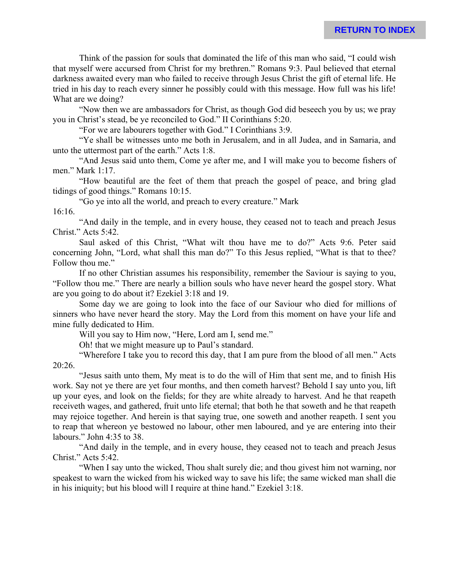Think of the passion for souls that dominated the life of this man who said, "I could wish that myself were accursed from Christ for my brethren." Romans 9:3. Paul believed that eternal darkness awaited every man who failed to receive through Jesus Christ the gift of eternal life. He tried in his day to reach every sinner he possibly could with this message. How full was his life! What are we doing?

"Now then we are ambassadors for Christ, as though God did beseech you by us; we pray you in Christ's stead, be ye reconciled to God." II Corinthians 5:20.

"For we are labourers together with God." I Corinthians 3:9.

"Ye shall be witnesses unto me both in Jerusalem, and in all Judea, and in Samaria, and unto the uttermost part of the earth." Acts 1:8.

"And Jesus said unto them, Come ye after me, and I will make you to become fishers of men." Mark 1:17.

"How beautiful are the feet of them that preach the gospel of peace, and bring glad tidings of good things." Romans 10:15.

"Go ye into all the world, and preach to every creature." Mark

16:16.

"And daily in the temple, and in every house, they ceased not to teach and preach Jesus Christ." Acts 5:42.

Saul asked of this Christ, "What wilt thou have me to do?" Acts 9:6. Peter said concerning John, "Lord, what shall this man do?" To this Jesus replied, "What is that to thee? Follow thou me."

If no other Christian assumes his responsibility, remember the Saviour is saying to you, "Follow thou me." There are nearly a billion souls who have never heard the gospel story. What are you going to do about it? Ezekiel 3:18 and 19.

Some day we are going to look into the face of our Saviour who died for millions of sinners who have never heard the story. May the Lord from this moment on have your life and mine fully dedicated to Him.

Will you say to Him now, "Here, Lord am I, send me."

Oh! that we might measure up to Paul's standard.

"Wherefore I take you to record this day, that I am pure from the blood of all men." Acts 20:26.

"Jesus saith unto them, My meat is to do the will of Him that sent me, and to finish His work. Say not ye there are yet four months, and then cometh harvest? Behold I say unto you, lift up your eyes, and look on the fields; for they are white already to harvest. And he that reapeth receiveth wages, and gathered, fruit unto life eternal; that both he that soweth and he that reapeth may rejoice together. And herein is that saying true, one soweth and another reapeth. I sent you to reap that whereon ye bestowed no labour, other men laboured, and ye are entering into their labours." John 4:35 to 38.

"And daily in the temple, and in every house, they ceased not to teach and preach Jesus Christ." Acts 5:42.

"When I say unto the wicked, Thou shalt surely die; and thou givest him not warning, nor speakest to warn the wicked from his wicked way to save his life; the same wicked man shall die in his iniquity; but his blood will I require at thine hand." Ezekiel 3:18.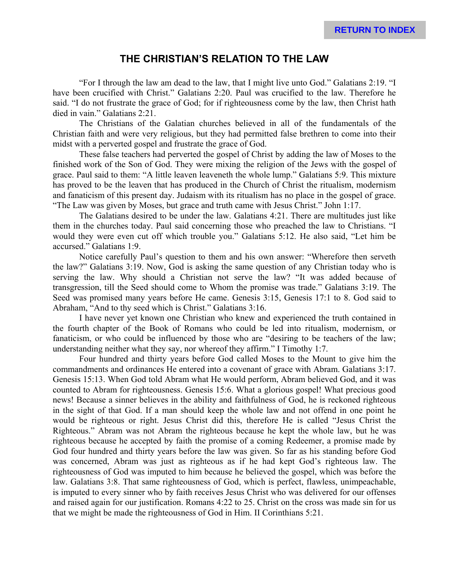### **THE CHRISTIAN'S RELATION TO THE LAW**

"For I through the law am dead to the law, that I might live unto God." Galatians 2:19. "I have been crucified with Christ." Galatians 2:20. Paul was crucified to the law. Therefore he said. "I do not frustrate the grace of God; for if righteousness come by the law, then Christ hath died in vain." Galatians 2:21.

The Christians of the Galatian churches believed in all of the fundamentals of the Christian faith and were very religious, but they had permitted false brethren to come into their midst with a perverted gospel and frustrate the grace of God.

These false teachers had perverted the gospel of Christ by adding the law of Moses to the finished work of the Son of God. They were mixing the religion of the Jews with the gospel of grace. Paul said to them: "A little leaven leaveneth the whole lump." Galatians 5:9. This mixture has proved to be the leaven that has produced in the Church of Christ the ritualism, modernism and fanaticism of this present day. Judaism with its ritualism has no place in the gospel of grace. "The Law was given by Moses, but grace and truth came with Jesus Christ." John 1:17.

The Galatians desired to be under the law. Galatians 4:21. There are multitudes just like them in the churches today. Paul said concerning those who preached the law to Christians. "I would they were even cut off which trouble you." Galatians 5:12. He also said, "Let him be accursed." Galatians 1:9.

Notice carefully Paul's question to them and his own answer: "Wherefore then serveth the law?" Galatians 3:19. Now, God is asking the same question of any Christian today who is serving the law. Why should a Christian not serve the law? "It was added because of transgression, till the Seed should come to Whom the promise was trade." Galatians 3:19. The Seed was promised many years before He came. Genesis 3:15, Genesis 17:1 to 8. God said to Abraham, "And to thy seed which is Christ." Galatians 3:16.

I have never yet known one Christian who knew and experienced the truth contained in the fourth chapter of the Book of Romans who could be led into ritualism, modernism, or fanaticism, or who could be influenced by those who are "desiring to be teachers of the law; understanding neither what they say, nor whereof they affirm." I Timothy 1:7.

Four hundred and thirty years before God called Moses to the Mount to give him the commandments and ordinances He entered into a covenant of grace with Abram. Galatians 3:17. Genesis 15:13. When God told Abram what He would perform, Abram believed God, and it was counted to Abram for righteousness. Genesis 15:6. What a glorious gospel! What precious good news! Because a sinner believes in the ability and faithfulness of God, he is reckoned righteous in the sight of that God. If a man should keep the whole law and not offend in one point he would be righteous or right. Jesus Christ did this, therefore He is called "Jesus Christ the Righteous." Abram was not Abram the righteous because he kept the whole law, but he was righteous because he accepted by faith the promise of a coming Redeemer, a promise made by God four hundred and thirty years before the law was given. So far as his standing before God was concerned, Abram was just as righteous as if he had kept God's righteous law. The righteousness of God was imputed to him because he believed the gospel, which was before the law. Galatians 3:8. That same righteousness of God, which is perfect, flawless, unimpeachable, is imputed to every sinner who by faith receives Jesus Christ who was delivered for our offenses and raised again for our justification. Romans 4:22 to 25. Christ on the cross was made sin for us that we might be made the righteousness of God in Him. II Corinthians 5:21.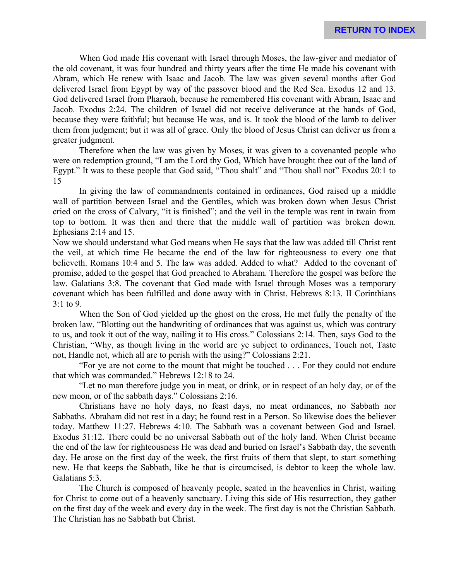When God made His covenant with Israel through Moses, the law-giver and mediator of the old covenant, it was four hundred and thirty years after the time He made his covenant with Abram, which He renew with Isaac and Jacob. The law was given several months after God delivered Israel from Egypt by way of the passover blood and the Red Sea. Exodus 12 and 13. God delivered Israel from Pharaoh, because he remembered His covenant with Abram, Isaac and Jacob. Exodus 2:24. The children of Israel did not receive deliverance at the hands of God, because they were faithful; but because He was, and is. It took the blood of the lamb to deliver them from judgment; but it was all of grace. Only the blood of Jesus Christ can deliver us from a greater judgment.

Therefore when the law was given by Moses, it was given to a covenanted people who were on redemption ground, "I am the Lord thy God, Which have brought thee out of the land of Egypt." It was to these people that God said, "Thou shalt" and "Thou shall not" Exodus 20:1 to 15

In giving the law of commandments contained in ordinances, God raised up a middle wall of partition between Israel and the Gentiles, which was broken down when Jesus Christ cried on the cross of Calvary, "it is finished"; and the veil in the temple was rent in twain from top to bottom. It was then and there that the middle wall of partition was broken down. Ephesians 2:14 and 15.

Now we should understand what God means when He says that the law was added till Christ rent the veil, at which time He became the end of the law for righteousness to every one that believeth. Romans 10:4 and 5. The law was added. Added to what? Added to the covenant of promise, added to the gospel that God preached to Abraham. Therefore the gospel was before the law. Galatians 3:8. The covenant that God made with Israel through Moses was a temporary covenant which has been fulfilled and done away with in Christ. Hebrews 8:13. II Corinthians 3:1 to 9.

When the Son of God yielded up the ghost on the cross, He met fully the penalty of the broken law, "Blotting out the handwriting of ordinances that was against us, which was contrary to us, and took it out of the way, nailing it to His cross." Colossians 2:14. Then, says God to the Christian, "Why, as though living in the world are ye subject to ordinances, Touch not, Taste not, Handle not, which all are to perish with the using?" Colossians 2:21.

"For ye are not come to the mount that might be touched . . . For they could not endure that which was commanded." Hebrews 12:18 to 24.

"Let no man therefore judge you in meat, or drink, or in respect of an holy day, or of the new moon, or of the sabbath days." Colossians 2:16.

Christians have no holy days, no feast days, no meat ordinances, no Sabbath nor Sabbaths. Abraham did not rest in a day; he found rest in a Person. So likewise does the believer today. Matthew 11:27. Hebrews 4:10. The Sabbath was a covenant between God and Israel. Exodus 31:12. There could be no universal Sabbath out of the holy land. When Christ became the end of the law for righteousness He was dead and buried on Israel's Sabbath day, the seventh day. He arose on the first day of the week, the first fruits of them that slept, to start something new. He that keeps the Sabbath, like he that is circumcised, is debtor to keep the whole law. Galatians 5:3.

The Church is composed of heavenly people, seated in the heavenlies in Christ, waiting for Christ to come out of a heavenly sanctuary. Living this side of His resurrection, they gather on the first day of the week and every day in the week. The first day is not the Christian Sabbath. The Christian has no Sabbath but Christ.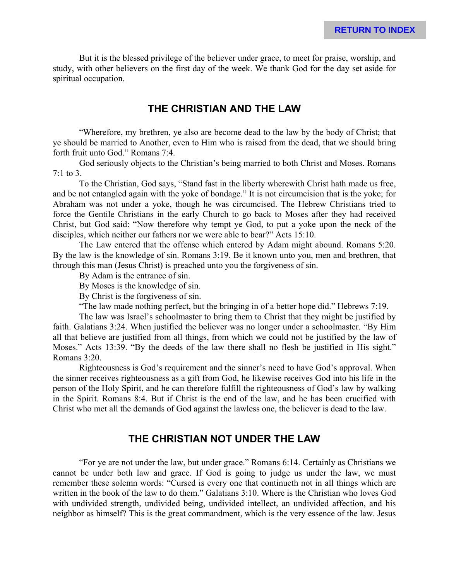But it is the blessed privilege of the believer under grace, to meet for praise, worship, and study, with other believers on the first day of the week. We thank God for the day set aside for spiritual occupation.

#### **THE CHRISTIAN AND THE LAW**

"Wherefore, my brethren, ye also are become dead to the law by the body of Christ; that ye should be married to Another, even to Him who is raised from the dead, that we should bring forth fruit unto God." Romans 7:4.

God seriously objects to the Christian's being married to both Christ and Moses. Romans 7:1 to 3.

To the Christian, God says, "Stand fast in the liberty wherewith Christ hath made us free, and be not entangled again with the yoke of bondage." It is not circumcision that is the yoke; for Abraham was not under a yoke, though he was circumcised. The Hebrew Christians tried to force the Gentile Christians in the early Church to go back to Moses after they had received Christ, but God said: "Now therefore why tempt ye God, to put a yoke upon the neck of the disciples, which neither our fathers nor we were able to bear?" Acts 15:10.

The Law entered that the offense which entered by Adam might abound. Romans 5:20. By the law is the knowledge of sin. Romans 3:19. Be it known unto you, men and brethren, that through this man (Jesus Christ) is preached unto you the forgiveness of sin.

By Adam is the entrance of sin.

By Moses is the knowledge of sin.

By Christ is the forgiveness of sin.

"The law made nothing perfect, but the bringing in of a better hope did." Hebrews 7:19.

The law was Israel's schoolmaster to bring them to Christ that they might be justified by faith. Galatians 3:24. When justified the believer was no longer under a schoolmaster. "By Him all that believe are justified from all things, from which we could not be justified by the law of Moses." Acts 13:39. "By the deeds of the law there shall no flesh be justified in His sight." Romans 3:20.

Righteousness is God's requirement and the sinner's need to have God's approval. When the sinner receives righteousness as a gift from God, he likewise receives God into his life in the person of the Holy Spirit, and he can therefore fulfill the righteousness of God's law by walking in the Spirit. Romans 8:4. But if Christ is the end of the law, and he has been crucified with Christ who met all the demands of God against the lawless one, the believer is dead to the law.

#### **THE CHRISTIAN NOT UNDER THE LAW**

"For ye are not under the law, but under grace." Romans 6:14. Certainly as Christians we cannot be under both law and grace. If God is going to judge us under the law, we must remember these solemn words: "Cursed is every one that continueth not in all things which are written in the book of the law to do them." Galatians 3:10. Where is the Christian who loves God with undivided strength, undivided being, undivided intellect, an undivided affection, and his neighbor as himself? This is the great commandment, which is the very essence of the law. Jesus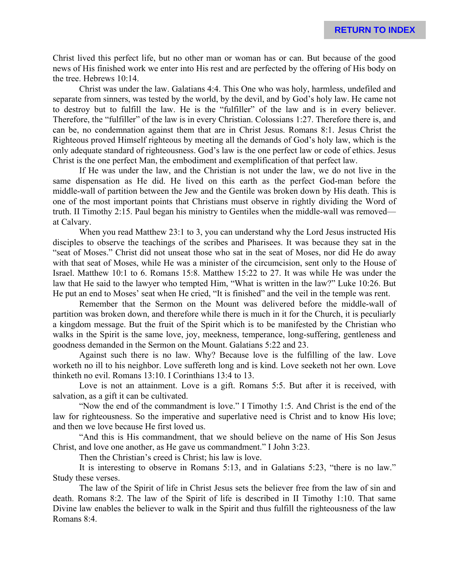Christ lived this perfect life, but no other man or woman has or can. But because of the good news of His finished work we enter into His rest and are perfected by the offering of His body on the tree. Hebrews 10:14.

Christ was under the law. Galatians 4:4. This One who was holy, harmless, undefiled and separate from sinners, was tested by the world, by the devil, and by God's holy law. He came not to destroy but to fulfill the law. He is the "fulfiller" of the law and is in every believer. Therefore, the "fulfiller" of the law is in every Christian. Colossians 1:27. Therefore there is, and can be, no condemnation against them that are in Christ Jesus. Romans 8:1. Jesus Christ the Righteous proved Himself righteous by meeting all the demands of God's holy law, which is the only adequate standard of righteousness. God's law is the one perfect law or code of ethics. Jesus Christ is the one perfect Man, the embodiment and exemplification of that perfect law.

If He was under the law, and the Christian is not under the law, we do not live in the same dispensation as He did. He lived on this earth as the perfect God-man before the middle-wall of partition between the Jew and the Gentile was broken down by His death. This is one of the most important points that Christians must observe in rightly dividing the Word of truth. II Timothy 2:15. Paul began his ministry to Gentiles when the middle-wall was removed at Calvary.

When you read Matthew 23:1 to 3, you can understand why the Lord Jesus instructed His disciples to observe the teachings of the scribes and Pharisees. It was because they sat in the "seat of Moses." Christ did not unseat those who sat in the seat of Moses, nor did He do away with that seat of Moses, while He was a minister of the circumcision, sent only to the House of Israel. Matthew 10:1 to 6. Romans 15:8. Matthew 15:22 to 27. It was while He was under the law that He said to the lawyer who tempted Him, "What is written in the law?" Luke 10:26. But He put an end to Moses' seat when He cried, "It is finished" and the veil in the temple was rent.

Remember that the Sermon on the Mount was delivered before the middle-wall of partition was broken down, and therefore while there is much in it for the Church, it is peculiarly a kingdom message. But the fruit of the Spirit which is to be manifested by the Christian who walks in the Spirit is the same love, joy, meekness, temperance, long-suffering, gentleness and goodness demanded in the Sermon on the Mount. Galatians 5:22 and 23.

Against such there is no law. Why? Because love is the fulfilling of the law. Love worketh no ill to his neighbor. Love suffereth long and is kind. Love seeketh not her own. Love thinketh no evil. Romans 13:10. I Corinthians 13:4 to 13.

Love is not an attainment. Love is a gift. Romans 5:5. But after it is received, with salvation, as a gift it can be cultivated.

"Now the end of the commandment is love." I Timothy 1:5. And Christ is the end of the law for righteousness. So the imperative and superlative need is Christ and to know His love; and then we love because He first loved us.

"And this is His commandment, that we should believe on the name of His Son Jesus Christ, and love one another, as He gave us commandment." I John 3:23.

Then the Christian's creed is Christ; his law is love.

It is interesting to observe in Romans 5:13, and in Galatians 5:23, "there is no law." Study these verses.

The law of the Spirit of life in Christ Jesus sets the believer free from the law of sin and death. Romans 8:2. The law of the Spirit of life is described in II Timothy 1:10. That same Divine law enables the believer to walk in the Spirit and thus fulfill the righteousness of the law Romans 8:4.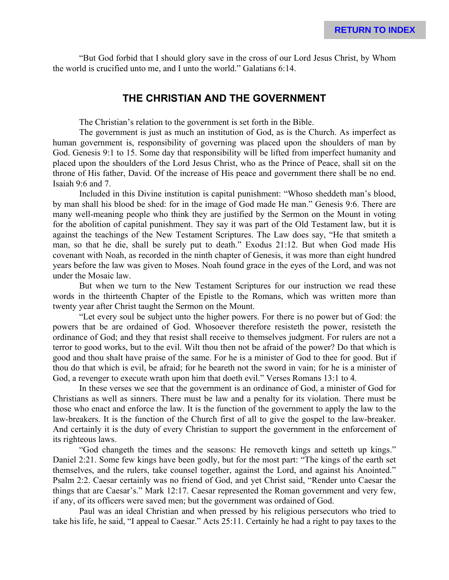"But God forbid that I should glory save in the cross of our Lord Jesus Christ, by Whom the world is crucified unto me, and I unto the world." Galatians 6:14.

#### **THE CHRISTIAN AND THE GOVERNMENT**

The Christian's relation to the government is set forth in the Bible.

The government is just as much an institution of God, as is the Church. As imperfect as human government is, responsibility of governing was placed upon the shoulders of man by God. Genesis 9:1 to 15. Some day that responsibility will be lifted from imperfect humanity and placed upon the shoulders of the Lord Jesus Christ, who as the Prince of Peace, shall sit on the throne of His father, David. Of the increase of His peace and government there shall be no end. Isaiah 9:6 and 7.

Included in this Divine institution is capital punishment: "Whoso sheddeth man's blood, by man shall his blood be shed: for in the image of God made He man." Genesis 9:6. There are many well-meaning people who think they are justified by the Sermon on the Mount in voting for the abolition of capital punishment. They say it was part of the Old Testament law, but it is against the teachings of the New Testament Scriptures. The Law does say, "He that smiteth a man, so that he die, shall be surely put to death." Exodus 21:12. But when God made His covenant with Noah, as recorded in the ninth chapter of Genesis, it was more than eight hundred years before the law was given to Moses. Noah found grace in the eyes of the Lord, and was not under the Mosaic law.

But when we turn to the New Testament Scriptures for our instruction we read these words in the thirteenth Chapter of the Epistle to the Romans, which was written more than twenty year after Christ taught the Sermon on the Mount.

"Let every soul be subject unto the higher powers. For there is no power but of God: the powers that be are ordained of God. Whosoever therefore resisteth the power, resisteth the ordinance of God; and they that resist shall receive to themselves judgment. For rulers are not a terror to good works, but to the evil. Wilt thou then not be afraid of the power? Do that which is good and thou shalt have praise of the same. For he is a minister of God to thee for good. But if thou do that which is evil, be afraid; for he beareth not the sword in vain; for he is a minister of God, a revenger to execute wrath upon him that doeth evil." Verses Romans 13:1 to 4.

In these verses we see that the government is an ordinance of God, a minister of God for Christians as well as sinners. There must be law and a penalty for its violation. There must be those who enact and enforce the law. It is the function of the government to apply the law to the law-breakers. It is the function of the Church first of all to give the gospel to the law-breaker. And certainly it is the duty of every Christian to support the government in the enforcement of its righteous laws.

"God changeth the times and the seasons: He removeth kings and setteth up kings." Daniel 2:21. Some few kings have been godly, but for the most part: "The kings of the earth set themselves, and the rulers, take counsel together, against the Lord, and against his Anointed." Psalm 2:2. Caesar certainly was no friend of God, and yet Christ said, "Render unto Caesar the things that are Caesar's." Mark 12:17. Caesar represented the Roman government and very few, if any, of its officers were saved men; but the government was ordained of God.

Paul was an ideal Christian and when pressed by his religious persecutors who tried to take his life, he said, "I appeal to Caesar." Acts 25:11. Certainly he had a right to pay taxes to the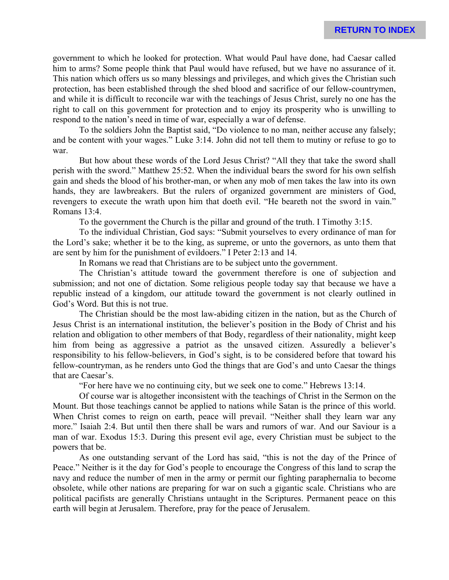government to which he looked for protection. What would Paul have done, had Caesar called him to arms? Some people think that Paul would have refused, but we have no assurance of it. This nation which offers us so many blessings and privileges, and which gives the Christian such protection, has been established through the shed blood and sacrifice of our fellow-countrymen, and while it is difficult to reconcile war with the teachings of Jesus Christ, surely no one has the right to call on this government for protection and to enjoy its prosperity who is unwilling to respond to the nation's need in time of war, especially a war of defense.

To the soldiers John the Baptist said, "Do violence to no man, neither accuse any falsely; and be content with your wages." Luke 3:14. John did not tell them to mutiny or refuse to go to war.

But how about these words of the Lord Jesus Christ? "All they that take the sword shall perish with the sword." Matthew 25:52. When the individual bears the sword for his own selfish gain and sheds the blood of his brother-man, or when any mob of men takes the law into its own hands, they are lawbreakers. But the rulers of organized government are ministers of God, revengers to execute the wrath upon him that doeth evil. "He beareth not the sword in vain." Romans 13:4.

To the government the Church is the pillar and ground of the truth. I Timothy 3:15.

To the individual Christian, God says: "Submit yourselves to every ordinance of man for the Lord's sake; whether it be to the king, as supreme, or unto the governors, as unto them that are sent by him for the punishment of evildoers." I Peter 2:13 and 14.

In Romans we read that Christians are to be subject unto the government.

The Christian's attitude toward the government therefore is one of subjection and submission; and not one of dictation. Some religious people today say that because we have a republic instead of a kingdom, our attitude toward the government is not clearly outlined in God's Word. But this is not true.

The Christian should be the most law-abiding citizen in the nation, but as the Church of Jesus Christ is an international institution, the believer's position in the Body of Christ and his relation and obligation to other members of that Body, regardless of their nationality, might keep him from being as aggressive a patriot as the unsaved citizen. Assuredly a believer's responsibility to his fellow-believers, in God's sight, is to be considered before that toward his fellow-countryman, as he renders unto God the things that are God's and unto Caesar the things that are Caesar's.

"For here have we no continuing city, but we seek one to come." Hebrews 13:14.

Of course war is altogether inconsistent with the teachings of Christ in the Sermon on the Mount. But those teachings cannot be applied to nations while Satan is the prince of this world. When Christ comes to reign on earth, peace will prevail. "Neither shall they learn war any more." Isaiah 2:4. But until then there shall be wars and rumors of war. And our Saviour is a man of war. Exodus 15:3. During this present evil age, every Christian must be subject to the powers that be.

As one outstanding servant of the Lord has said, "this is not the day of the Prince of Peace." Neither is it the day for God's people to encourage the Congress of this land to scrap the navy and reduce the number of men in the army or permit our fighting paraphernalia to become obsolete, while other nations are preparing for war on such a gigantic scale. Christians who are political pacifists are generally Christians untaught in the Scriptures. Permanent peace on this earth will begin at Jerusalem. Therefore, pray for the peace of Jerusalem.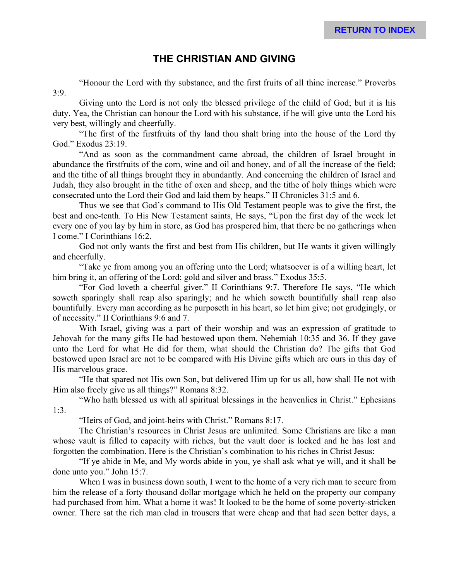# **THE CHRISTIAN AND GIVING**

"Honour the Lord with thy substance, and the first fruits of all thine increase." Proverbs  $3:9.$ 

Giving unto the Lord is not only the blessed privilege of the child of God; but it is his duty. Yea, the Christian can honour the Lord with his substance, if he will give unto the Lord his very best, willingly and cheerfully.

"The first of the firstfruits of thy land thou shalt bring into the house of the Lord thy God." Exodus 23:19.

"And as soon as the commandment came abroad, the children of Israel brought in abundance the firstfruits of the corn, wine and oil and honey, and of all the increase of the field; and the tithe of all things brought they in abundantly. And concerning the children of Israel and Judah, they also brought in the tithe of oxen and sheep, and the tithe of holy things which were consecrated unto the Lord their God and laid them by heaps." II Chronicles 31:5 and 6.

Thus we see that God's command to His Old Testament people was to give the first, the best and one-tenth. To His New Testament saints, He says, "Upon the first day of the week let every one of you lay by him in store, as God has prospered him, that there be no gatherings when I come." I Corinthians 16:2.

God not only wants the first and best from His children, but He wants it given willingly and cheerfully.

"Take ye from among you an offering unto the Lord; whatsoever is of a willing heart, let him bring it, an offering of the Lord; gold and silver and brass." Exodus 35:5.

"For God loveth a cheerful giver." II Corinthians 9:7. Therefore He says, "He which soweth sparingly shall reap also sparingly; and he which soweth bountifully shall reap also bountifully. Every man according as he purposeth in his heart, so let him give; not grudgingly, or of necessity." II Corinthians 9:6 and 7.

With Israel, giving was a part of their worship and was an expression of gratitude to Jehovah for the many gifts He had bestowed upon them. Nehemiah 10:35 and 36. If they gave unto the Lord for what He did for them, what should the Christian do? The gifts that God bestowed upon Israel are not to be compared with His Divine gifts which are ours in this day of His marvelous grace.

"He that spared not His own Son, but delivered Him up for us all, how shall He not with Him also freely give us all things?" Romans 8:32.

"Who hath blessed us with all spiritual blessings in the heavenlies in Christ." Ephesians 1:3.

"Heirs of God, and joint-heirs with Christ." Romans 8:17.

The Christian's resources in Christ Jesus are unlimited. Some Christians are like a man whose vault is filled to capacity with riches, but the vault door is locked and he has lost and forgotten the combination. Here is the Christian's combination to his riches in Christ Jesus:

"If ye abide in Me, and My words abide in you, ye shall ask what ye will, and it shall be done unto you." John 15:7.

When I was in business down south, I went to the home of a very rich man to secure from him the release of a forty thousand dollar mortgage which he held on the property our company had purchased from him. What a home it was! It looked to be the home of some poverty-stricken owner. There sat the rich man clad in trousers that were cheap and that had seen better days, a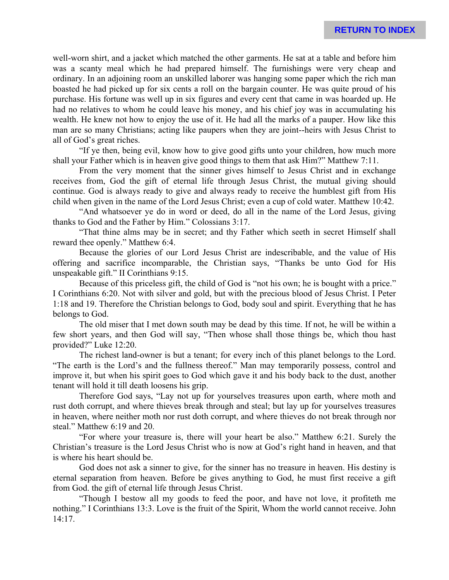well-worn shirt, and a jacket which matched the other garments. He sat at a table and before him was a scanty meal which he had prepared himself. The furnishings were very cheap and ordinary. In an adjoining room an unskilled laborer was hanging some paper which the rich man boasted he had picked up for six cents a roll on the bargain counter. He was quite proud of his purchase. His fortune was well up in six figures and every cent that came in was hoarded up. He had no relatives to whom he could leave his money, and his chief joy was in accumulating his wealth. He knew not how to enjoy the use of it. He had all the marks of a pauper. How like this man are so many Christians; acting like paupers when they are joint--heirs with Jesus Christ to all of God's great riches.

"If ye then, being evil, know how to give good gifts unto your children, how much more shall your Father which is in heaven give good things to them that ask Him?" Matthew 7:11.

From the very moment that the sinner gives himself to Jesus Christ and in exchange receives from, God the gift of eternal life through Jesus Christ, the mutual giving should continue. God is always ready to give and always ready to receive the humblest gift from His child when given in the name of the Lord Jesus Christ; even a cup of cold water. Matthew 10:42.

"And whatsoever ye do in word or deed, do all in the name of the Lord Jesus, giving thanks to God and the Father by Him." Colossians 3:17.

"That thine alms may be in secret; and thy Father which seeth in secret Himself shall reward thee openly." Matthew 6:4.

Because the glories of our Lord Jesus Christ are indescribable, and the value of His offering and sacrifice incomparable, the Christian says, "Thanks be unto God for His unspeakable gift." II Corinthians 9:15.

Because of this priceless gift, the child of God is "not his own; he is bought with a price." I Corinthians 6:20. Not with silver and gold, but with the precious blood of Jesus Christ. I Peter 1:18 and 19. Therefore the Christian belongs to God, body soul and spirit. Everything that he has belongs to God.

The old miser that I met down south may be dead by this time. If not, he will be within a few short years, and then God will say, "Then whose shall those things be, which thou hast provided?" Luke 12:20.

The richest land-owner is but a tenant; for every inch of this planet belongs to the Lord. "The earth is the Lord's and the fullness thereof." Man may temporarily possess, control and improve it, but when his spirit goes to God which gave it and his body back to the dust, another tenant will hold it till death loosens his grip.

Therefore God says, "Lay not up for yourselves treasures upon earth, where moth and rust doth corrupt, and where thieves break through and steal; but lay up for yourselves treasures in heaven, where neither moth nor rust doth corrupt, and where thieves do not break through nor steal." Matthew 6:19 and 20.

"For where your treasure is, there will your heart be also." Matthew 6:21. Surely the Christian's treasure is the Lord Jesus Christ who is now at God's right hand in heaven, and that is where his heart should be.

God does not ask a sinner to give, for the sinner has no treasure in heaven. His destiny is eternal separation from heaven. Before be gives anything to God, he must first receive a gift from God. the gift of eternal life through Jesus Christ.

"Though I bestow all my goods to feed the poor, and have not love, it profiteth me nothing." I Corinthians 13:3. Love is the fruit of the Spirit, Whom the world cannot receive. John 14:17.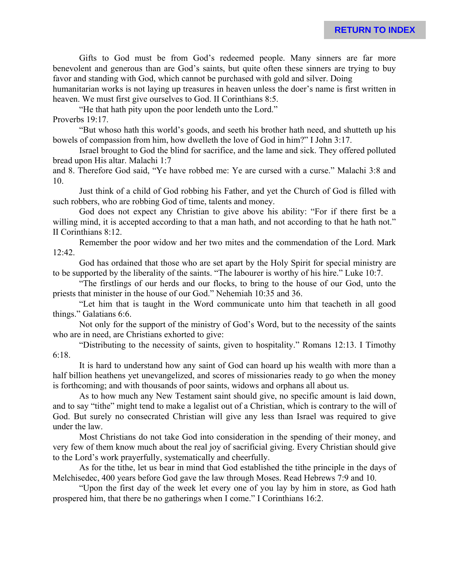Gifts to God must be from God's redeemed people. Many sinners are far more benevolent and generous than are God's saints, but quite often these sinners are trying to buy favor and standing with God, which cannot be purchased with gold and silver. Doing

humanitarian works is not laying up treasures in heaven unless the doer's name is first written in heaven. We must first give ourselves to God. II Corinthians 8:5.

"He that hath pity upon the poor lendeth unto the Lord." Proverbs 19:17.

"But whoso hath this world's goods, and seeth his brother hath need, and shutteth up his bowels of compassion from him, how dwelleth the love of God in him?" I John 3:17.

Israel brought to God the blind for sacrifice, and the lame and sick. They offered polluted bread upon His altar. Malachi 1:7

and 8. Therefore God said, "Ye have robbed me: Ye are cursed with a curse." Malachi 3:8 and 10.

Just think of a child of God robbing his Father, and yet the Church of God is filled with such robbers, who are robbing God of time, talents and money.

God does not expect any Christian to give above his ability: "For if there first be a willing mind, it is accepted according to that a man hath, and not according to that he hath not." II Corinthians 8:12.

Remember the poor widow and her two mites and the commendation of the Lord. Mark 12:42.

God has ordained that those who are set apart by the Holy Spirit for special ministry are to be supported by the liberality of the saints. "The labourer is worthy of his hire." Luke 10:7.

"The firstlings of our herds and our flocks, to bring to the house of our God, unto the priests that minister in the house of our God." Nehemiah 10:35 and 36.

"Let him that is taught in the Word communicate unto him that teacheth in all good things." Galatians 6:6.

Not only for the support of the ministry of God's Word, but to the necessity of the saints who are in need, are Christians exhorted to give:

"Distributing to the necessity of saints, given to hospitality." Romans 12:13. I Timothy 6:18.

It is hard to understand how any saint of God can hoard up his wealth with more than a half billion heathens yet unevangelized, and scores of missionaries ready to go when the money is forthcoming; and with thousands of poor saints, widows and orphans all about us.

As to how much any New Testament saint should give, no specific amount is laid down, and to say "tithe" might tend to make a legalist out of a Christian, which is contrary to the will of God. But surely no consecrated Christian will give any less than Israel was required to give under the law.

Most Christians do not take God into consideration in the spending of their money, and very few of them know much about the real joy of sacrificial giving. Every Christian should give to the Lord's work prayerfully, systematically and cheerfully.

As for the tithe, let us bear in mind that God established the tithe principle in the days of Melchisedec, 400 years before God gave the law through Moses. Read Hebrews 7:9 and 10.

"Upon the first day of the week let every one of you lay by him in store, as God hath prospered him, that there be no gatherings when I come." I Corinthians 16:2.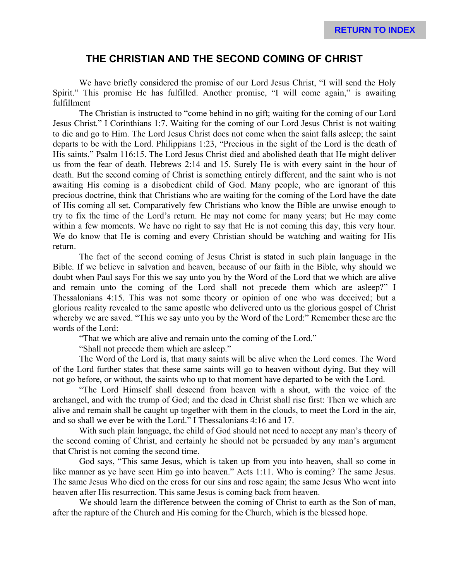### **THE CHRISTIAN AND THE SECOND COMING OF CHRIST**

We have briefly considered the promise of our Lord Jesus Christ, "I will send the Holy Spirit." This promise He has fulfilled. Another promise, "I will come again," is awaiting fulfillment

The Christian is instructed to "come behind in no gift; waiting for the coming of our Lord Jesus Christ." I Corinthians 1:7. Waiting for the coming of our Lord Jesus Christ is not waiting to die and go to Him. The Lord Jesus Christ does not come when the saint falls asleep; the saint departs to be with the Lord. Philippians 1:23, "Precious in the sight of the Lord is the death of His saints." Psalm 116:15. The Lord Jesus Christ died and abolished death that He might deliver us from the fear of death. Hebrews 2:14 and 15. Surely He is with every saint in the hour of death. But the second coming of Christ is something entirely different, and the saint who is not awaiting His coming is a disobedient child of God. Many people, who are ignorant of this precious doctrine, think that Christians who are waiting for the coming of the Lord have the date of His coming all set. Comparatively few Christians who know the Bible are unwise enough to try to fix the time of the Lord's return. He may not come for many years; but He may come within a few moments. We have no right to say that He is not coming this day, this very hour. We do know that He is coming and every Christian should be watching and waiting for His return.

The fact of the second coming of Jesus Christ is stated in such plain language in the Bible. If we believe in salvation and heaven, because of our faith in the Bible, why should we doubt when Paul says For this we say unto you by the Word of the Lord that we which are alive and remain unto the coming of the Lord shall not precede them which are asleep?" I Thessalonians 4:15. This was not some theory or opinion of one who was deceived; but a glorious reality revealed to the same apostle who delivered unto us the glorious gospel of Christ whereby we are saved. "This we say unto you by the Word of the Lord:" Remember these are the words of the Lord:

"That we which are alive and remain unto the coming of the Lord."

"Shall not precede them which are asleep."

The Word of the Lord is, that many saints will be alive when the Lord comes. The Word of the Lord further states that these same saints will go to heaven without dying. But they will not go before, or without, the saints who up to that moment have departed to be with the Lord.

"The Lord Himself shall descend from heaven with a shout, with the voice of the archangel, and with the trump of God; and the dead in Christ shall rise first: Then we which are alive and remain shall be caught up together with them in the clouds, to meet the Lord in the air, and so shall we ever be with the Lord." I Thessalonians 4:16 and 17.

With such plain language, the child of God should not need to accept any man's theory of the second coming of Christ, and certainly he should not be persuaded by any man's argument that Christ is not coming the second time.

God says, "This same Jesus, which is taken up from you into heaven, shall so come in like manner as ye have seen Him go into heaven." Acts 1:11. Who is coming? The same Jesus. The same Jesus Who died on the cross for our sins and rose again; the same Jesus Who went into heaven after His resurrection. This same Jesus is coming back from heaven.

We should learn the difference between the coming of Christ to earth as the Son of man, after the rapture of the Church and His coming for the Church, which is the blessed hope.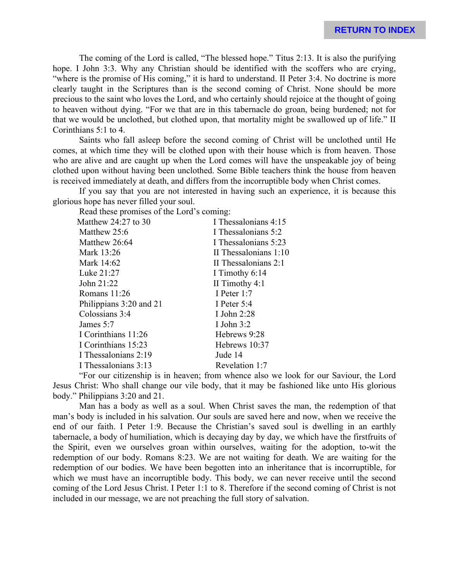The coming of the Lord is called, "The blessed hope." Titus 2:13. It is also the purifying hope. I John 3:3. Why any Christian should be identified with the scoffers who are crying, "where is the promise of His coming," it is hard to understand. II Peter 3:4. No doctrine is more clearly taught in the Scriptures than is the second coming of Christ. None should be more precious to the saint who loves the Lord, and who certainly should rejoice at the thought of going to heaven without dying. "For we that are in this tabernacle do groan, being burdened; not for that we would be unclothed, but clothed upon, that mortality might be swallowed up of life." II Corinthians 5:1 to 4.

Saints who fall asleep before the second coming of Christ will be unclothed until He comes, at which time they will be clothed upon with their house which is from heaven. Those who are alive and are caught up when the Lord comes will have the unspeakable joy of being clothed upon without having been unclothed. Some Bible teachers think the house from heaven is received immediately at death, and differs from the incorruptible body when Christ comes.

If you say that you are not interested in having such an experience, it is because this glorious hope has never filled your soul.

Read these promises of the Lord's coming:

| Matthew $24:27$ to 30   | I Thessalonians 4:15  |
|-------------------------|-----------------------|
| Matthew 25:6            | I Thessalonians 5:2   |
| Matthew 26:64           | I Thessalonians 5:23  |
| Mark 13:26              | II Thessalonians 1:10 |
| Mark 14:62              | II Thessalonians 2:1  |
| Luke 21:27              | I Timothy 6:14        |
| John 21:22              | II Timothy $4:1$      |
| Romans 11:26            | I Peter 1:7           |
| Philippians 3:20 and 21 | I Peter $5:4$         |
| Colossians 3:4          | I John $2:28$         |
| James 5:7               | I John $3:2$          |
| I Corinthians 11:26     | Hebrews 9:28          |
| I Corinthians 15:23     | Hebrews 10:37         |
| I Thessalonians 2:19    | Jude 14               |
| I Thessalonians 3:13    | Revelation 1:7        |
|                         |                       |

"For our citizenship is in heaven; from whence also we look for our Saviour, the Lord Jesus Christ: Who shall change our vile body, that it may be fashioned like unto His glorious body." Philippians 3:20 and 21.

Man has a body as well as a soul. When Christ saves the man, the redemption of that man's body is included in his salvation. Our souls are saved here and now, when we receive the end of our faith. I Peter 1:9. Because the Christian's saved soul is dwelling in an earthly tabernacle, a body of humiliation, which is decaying day by day, we which have the firstfruits of the Spirit, even we ourselves groan within ourselves, waiting for the adoption, to-wit the redemption of our body. Romans 8:23. We are not waiting for death. We are waiting for the redemption of our bodies. We have been begotten into an inheritance that is incorruptible, for which we must have an incorruptible body. This body, we can never receive until the second coming of the Lord Jesus Christ. I Peter 1:1 to 8. Therefore if the second coming of Christ is not included in our message, we are not preaching the full story of salvation.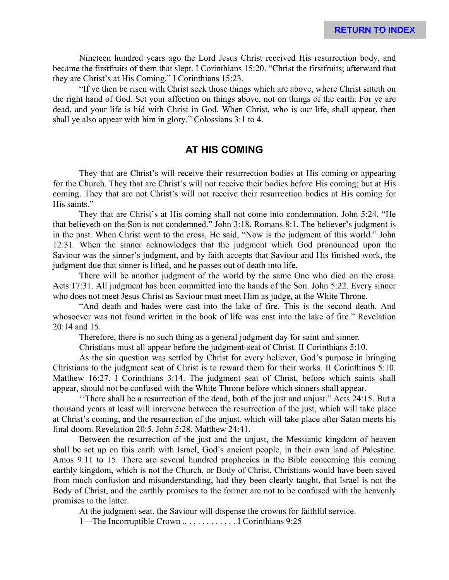Nineteen hundred years ago the Lord Jesus Christ received His resurrection body, and became the firstfruits of them that slept. I Corinthians 15:20. "Christ the firstfruits; afterward that they are Christ's at His Coming." I Corinthians 15:23.

"If ye then be risen with Christ seek those things which are above, where Christ sitteth on the right hand of God. Set your affection on things above, not on things of the earth. For ye are dead, and your life is hid with Christ in God. When Christ, who is our life, shall appear, then shall ye also appear with him in glory." Colossians 3:1 to 4.

#### **AT HIS COMING**

They that are Christ's will receive their resurrection bodies at His coming or appearing for the Church. They that are Christ's will not receive their bodies before His coming; but at His coming. They that are not Christ's will not receive their resurrection bodies at His coming for His saints."

They that are Christ's at His coming shall not come into condemnation. John 5:24. "He that believeth on the Son is not condemned." John 3:18. Romans 8:1. The believer's judgment is in the past. When Christ went to the cross, He said, "Now is the judgment of this world." John 12:31. When the sinner acknowledges that the judgment which God pronounced upon the Saviour was the sinner's judgment, and by faith accepts that Saviour and His finished work, the judgment due that sinner is lifted, and he passes out of death into life.

There will be another judgment of the world by the same One who died on the cross. Acts 17:31. All judgment has been committed into the hands of the Son. John 5:22. Every sinner who does not meet Jesus Christ as Saviour must meet Him as judge, at the White Throne.

"And death and hades were cast into the lake of fire. This is the second death. And whosoever was not found written in the book of life was cast into the lake of fire." Revelation 20:14 and 15.

Therefore, there is no such thing as a general judgment day for saint and sinner.

Christians must all appear before the judgment-seat of Christ. II Corinthians 5:10.

As the sin question was settled by Christ for every believer, God's purpose in bringing Christians to the judgment seat of Christ is to reward them for their works. II Corinthians 5:10. Matthew 16:27. I Corinthians 3:14. The judgment seat of Christ, before which saints shall appear, should not be confused with the White Throne before which sinners shall appear.

''There shall be a resurrection of the dead, both of the just and unjust." Acts 24:15. But a thousand years at least will intervene between the resurrection of the just, which will take place at Christ's coming, and the resurrection of the unjust, which will take place after Satan meets his final doom. Revelation 20:5. John 5:28. Matthew 24:41.

Between the resurrection of the just and the unjust, the Messianic kingdom of heaven shall be set up on this earth with Israel, God's ancient people, in their own land of Palestine. Amos 9:11 to 15. There are several hundred prophecies in the Bible concerning this coming earthly kingdom, which is not the Church, or Body of Christ. Christians would have been saved from much confusion and misunderstanding, had they been clearly taught, that Israel is not the Body of Christ, and the earthly promises to the former are not to be confused with the heavenly promises to the latter.

At the judgment seat, the Saviour will dispense the crowns for faithful service.

1—The Incorruptible Crown .. . . . . . . . . . . . I Corinthians 9:25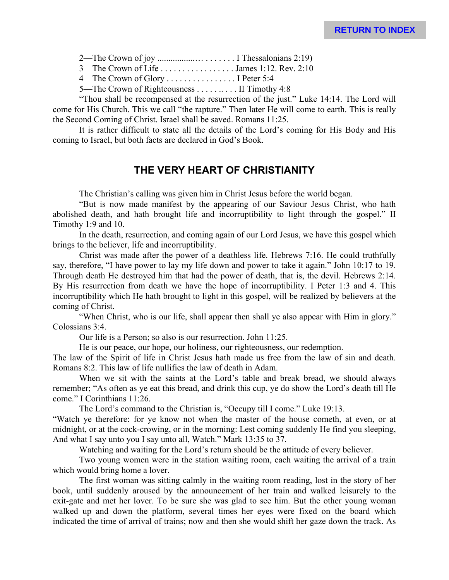|--|--|--|

3—The Crown of Life . . . . . . . . . . . . . . . . . James 1:12. Rev. 2:10

4—The Crown of Glory . . . . . . . . . . . . . . . . I Peter 5:4

5—The Crown of Righteousness . . . . . . . . . II Timothy 4:8

"Thou shall be recompensed at the resurrection of the just." Luke 14:14. The Lord will come for His Church. This we call "the rapture." Then later He will come to earth. This is really the Second Coming of Christ. Israel shall be saved. Romans 11:25.

It is rather difficult to state all the details of the Lord's coming for His Body and His coming to Israel, but both facts are declared in God's Book.

# **THE VERY HEART OF CHRISTIANITY**

The Christian's calling was given him in Christ Jesus before the world began.

"But is now made manifest by the appearing of our Saviour Jesus Christ, who hath abolished death, and hath brought life and incorruptibility to light through the gospel." II Timothy 1:9 and 10.

In the death, resurrection, and coming again of our Lord Jesus, we have this gospel which brings to the believer, life and incorruptibility.

Christ was made after the power of a deathless life. Hebrews 7:16. He could truthfully say, therefore, "I have power to lay my life down and power to take it again." John 10:17 to 19. Through death He destroyed him that had the power of death, that is, the devil. Hebrews 2:14. By His resurrection from death we have the hope of incorruptibility. I Peter 1:3 and 4. This incorruptibility which He hath brought to light in this gospel, will be realized by believers at the coming of Christ.

"When Christ, who is our life, shall appear then shall ye also appear with Him in glory." Colossians 3:4.

Our life is a Person; so also is our resurrection. John 11:25.

He is our peace, our hope, our holiness, our righteousness, our redemption.

The law of the Spirit of life in Christ Jesus hath made us free from the law of sin and death. Romans 8:2. This law of life nullifies the law of death in Adam.

When we sit with the saints at the Lord's table and break bread, we should always remember; "As often as ye eat this bread, and drink this cup, ye do show the Lord's death till He come." I Corinthians 11:26.

The Lord's command to the Christian is, "Occupy till I come." Luke 19:13.

"Watch ye therefore: for ye know not when the master of the house cometh, at even, or at midnight, or at the cock-crowing, or in the morning: Lest coming suddenly He find you sleeping, And what I say unto you I say unto all, Watch." Mark 13:35 to 37.

Watching and waiting for the Lord's return should be the attitude of every believer.

Two young women were in the station waiting room, each waiting the arrival of a train which would bring home a lover.

The first woman was sitting calmly in the waiting room reading, lost in the story of her book, until suddenly aroused by the announcement of her train and walked leisurely to the exit-gate and met her lover. To be sure she was glad to see him. But the other young woman walked up and down the platform, several times her eyes were fixed on the board which indicated the time of arrival of trains; now and then she would shift her gaze down the track. As